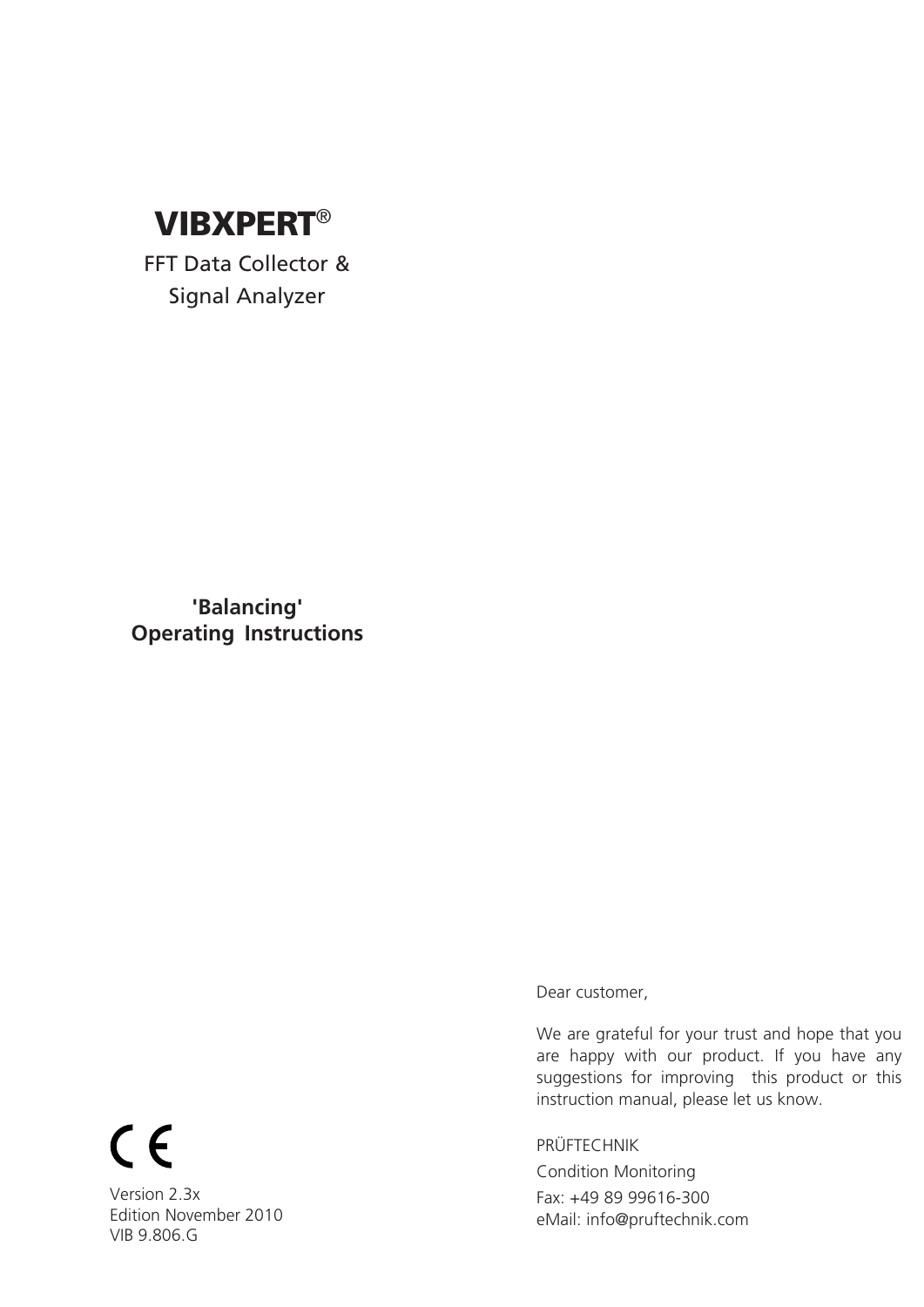

FFT Data Collector & Signal Analyzer

**'Balancing' Operating Instructions**

Dear customer,

We are grateful for your trust and hope that you are happy with our product. If you have any suggestions for improving this product or this instruction manual, please let us know.

PRÜFTECHNIK Condition Monitoring Fax: +49 89 99616-300 eMail: info@pruftechnik.com

# $C \in$

Version 2.3x Edition November 2010 VIB 9.806.G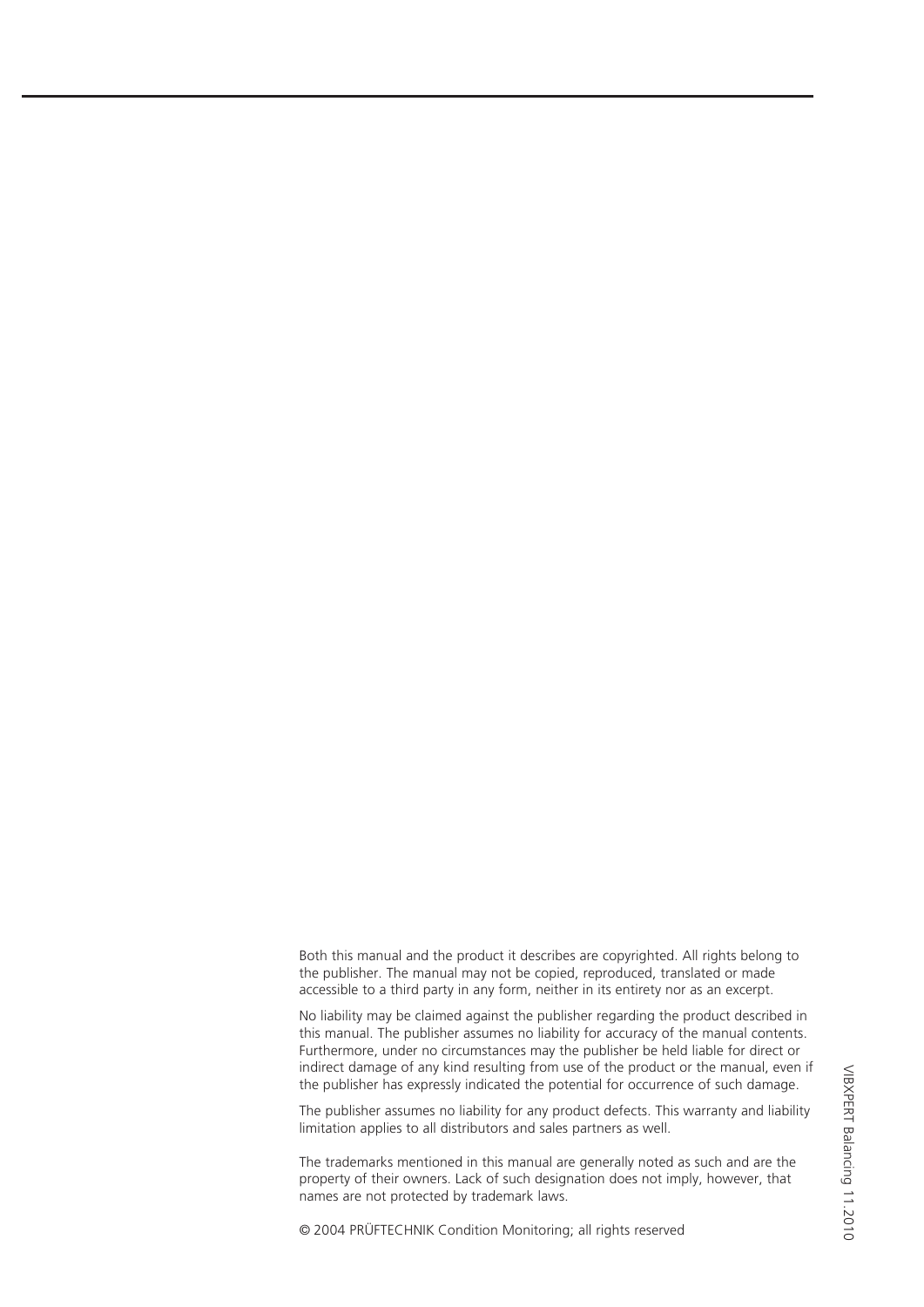Both this manual and the product it describes are copyrighted. All rights belong to the publisher. The manual may not be copied, reproduced, translated or made accessible to a third party in any form, neither in its entirety nor as an excerpt.

No liability may be claimed against the publisher regarding the product described in this manual. The publisher assumes no liability for accuracy of the manual contents. Furthermore, under no circumstances may the publisher be held liable for direct or indirect damage of any kind resulting from use of the product or the manual, even if the publisher has expressly indicated the potential for occurrence of such damage.

The publisher assumes no liability for any product defects. This warranty and liability limitation applies to all distributors and sales partners as well.

The trademarks mentioned in this manual are generally noted as such and are the property of their owners. Lack of such designation does not imply, however, that names are not protected by trademark laws.

© 2004 PRÜFTECHNIK Condition Monitoring; all rights reserved

VIBXPERT Balancing 11.2010 VIBXPERT Balancing 11.2010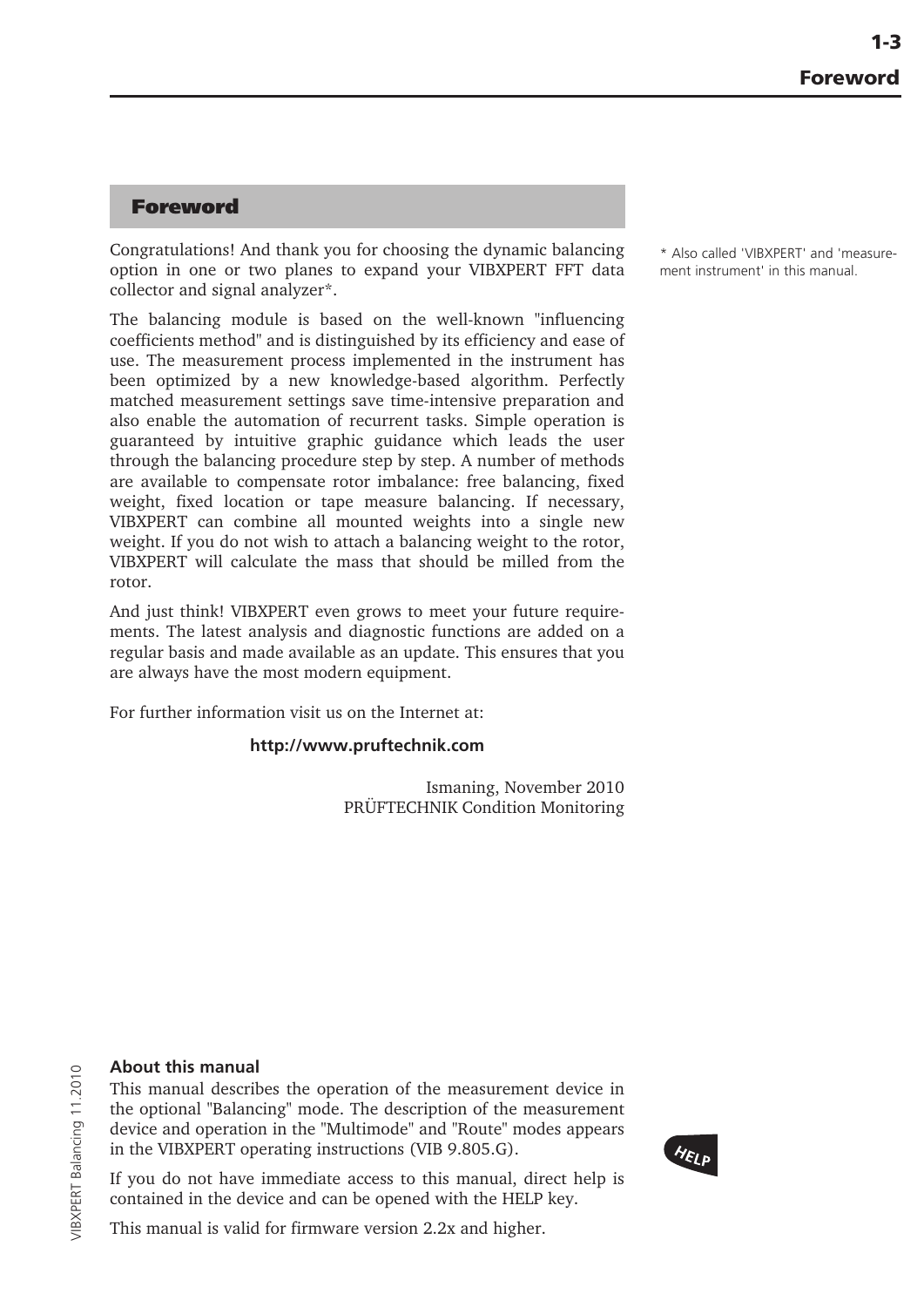# **Foreword**

Congratulations! And thank you for choosing the dynamic balancing option in one or two planes to expand your VIBXPERT FFT data collector and signal analyzer\*.

The balancing module is based on the well-known "influencing coefficients method" and is distinguished by its efficiency and ease of use. The measurement process implemented in the instrument has been optimized by a new knowledge-based algorithm. Perfectly matched measurement settings save time-intensive preparation and also enable the automation of recurrent tasks. Simple operation is guaranteed by intuitive graphic guidance which leads the user through the balancing procedure step by step. A number of methods are available to compensate rotor imbalance: free balancing, fixed weight, fixed location or tape measure balancing. If necessary, VIBXPERT can combine all mounted weights into a single new weight. If you do not wish to attach a balancing weight to the rotor, VIBXPERT will calculate the mass that should be milled from the rotor.

And just think! VIBXPERT even grows to meet your future requirements. The latest analysis and diagnostic functions are added on a regular basis and made available as an update. This ensures that you are always have the most modern equipment.

For further information visit us on the Internet at:

#### **http://www.pruftechnik.com**

 Ismaning, November 2010 PRÜFTECHNIK Condition Monitoring \* Also called 'VIBXPERT' and 'measurement instrument' in this manual.

# **About this manual**

This manual describes the operation of the measurement device in the optional "Balancing" mode. The description of the measurement device and operation in the "Multimode" and "Route" modes appears in the VIBXPERT operating instructions (VIB 9.805.G).

If you do not have immediate access to this manual, direct help is contained in the device and can be opened with the HELP key.



This manual is valid for firmware version 2.2x and higher.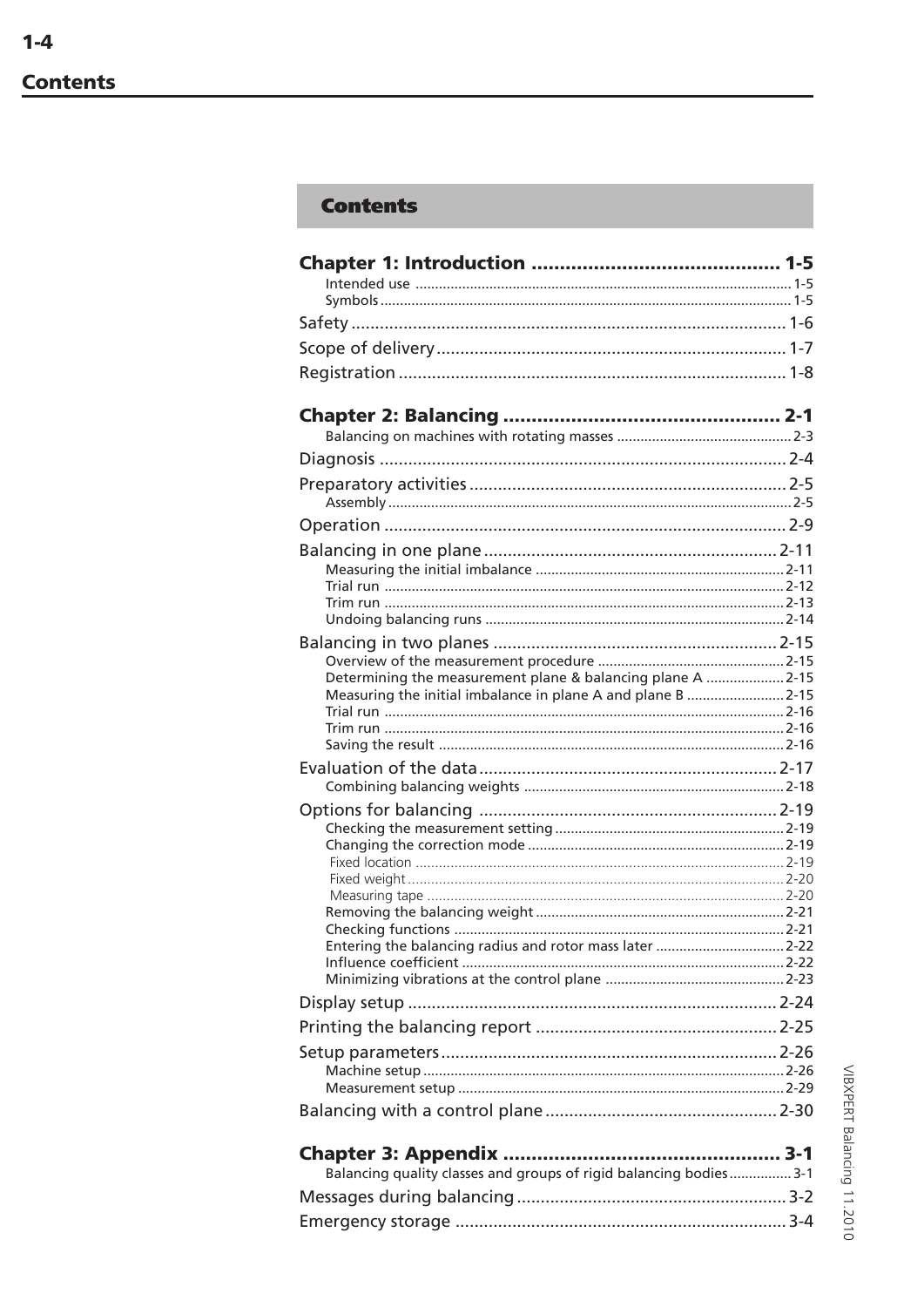$1-4$ 

# **Contents**

| Determining the measurement plane & balancing plane A  2-15<br>Measuring the initial imbalance in plane A and plane B  2-15 |
|-----------------------------------------------------------------------------------------------------------------------------|
|                                                                                                                             |
|                                                                                                                             |
|                                                                                                                             |
|                                                                                                                             |
|                                                                                                                             |
|                                                                                                                             |
|                                                                                                                             |
|                                                                                                                             |
|                                                                                                                             |
|                                                                                                                             |
| Entering the balancing radius and rotor mass later  2-22                                                                    |
|                                                                                                                             |
|                                                                                                                             |
|                                                                                                                             |
|                                                                                                                             |
|                                                                                                                             |
|                                                                                                                             |
|                                                                                                                             |
|                                                                                                                             |
| Balancing quality classes and groups of rigid balancing bodies 3-1                                                          |
|                                                                                                                             |
|                                                                                                                             |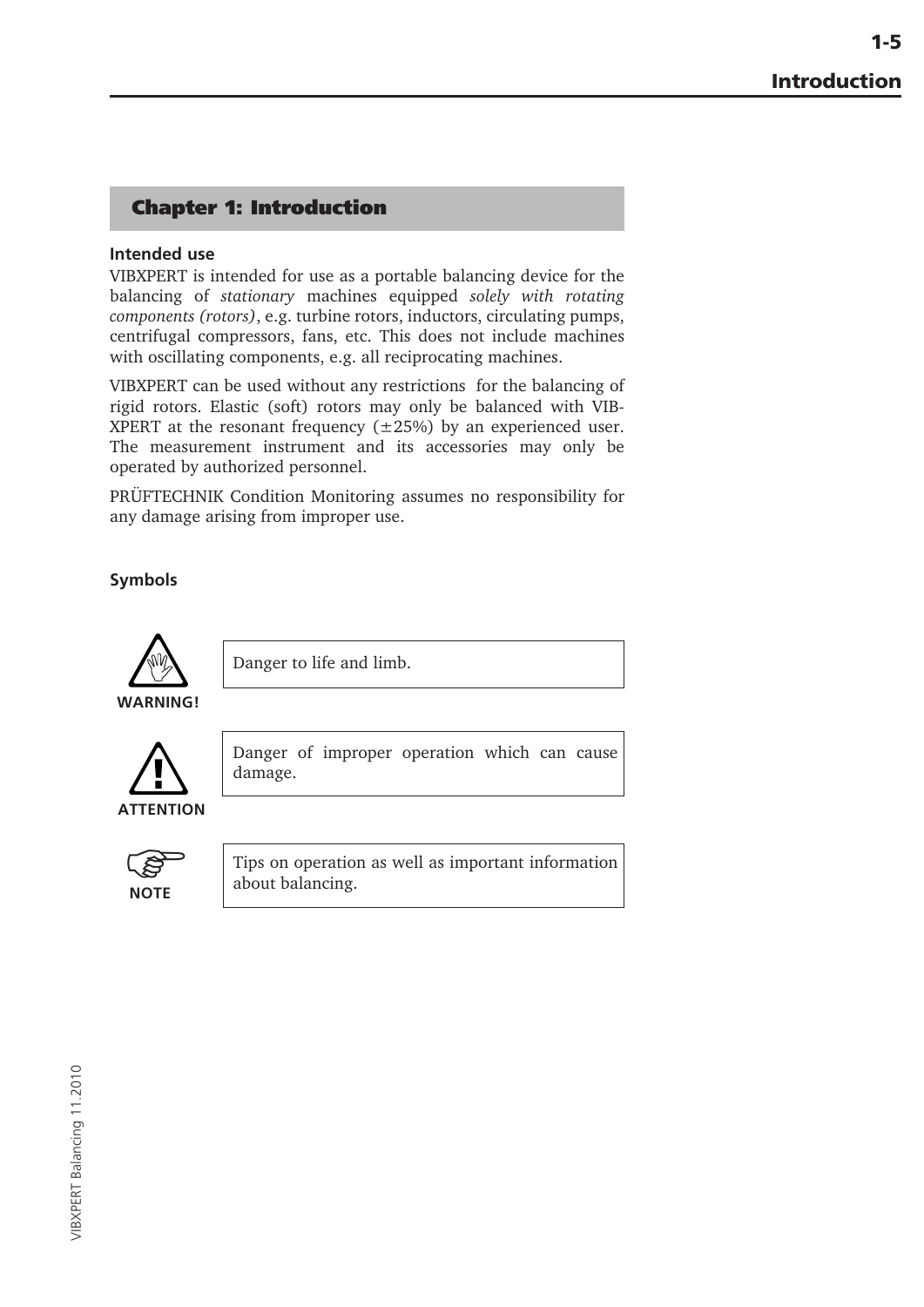# <span id="page-4-0"></span>**Chapter 1: Introduction**

#### **Intended use**

VIBXPERT is intended for use as a portable balancing device for the balancing of *stationary* machines equipped *solely with rotating components (rotors)*, e.g. turbine rotors, inductors, circulating pumps, centrifugal compressors, fans, etc. This does not include machines with oscillating components, e.g. all reciprocating machines.

VIBXPERT can be used without any restrictions for the balancing of rigid rotors. Elastic (soft) rotors may only be balanced with VIB-XPERT at the resonant frequency  $(\pm 25%)$  by an experienced user. The measurement instrument and its accessories may only be operated by authorized personnel.

PRÜFTECHNIK Condition Monitoring assumes no responsibility for any damage arising from improper use.

# **Symbols**



Danger to life and limb.



Danger of improper operation which can cause damage.



Tips on operation as well as important information about balancing.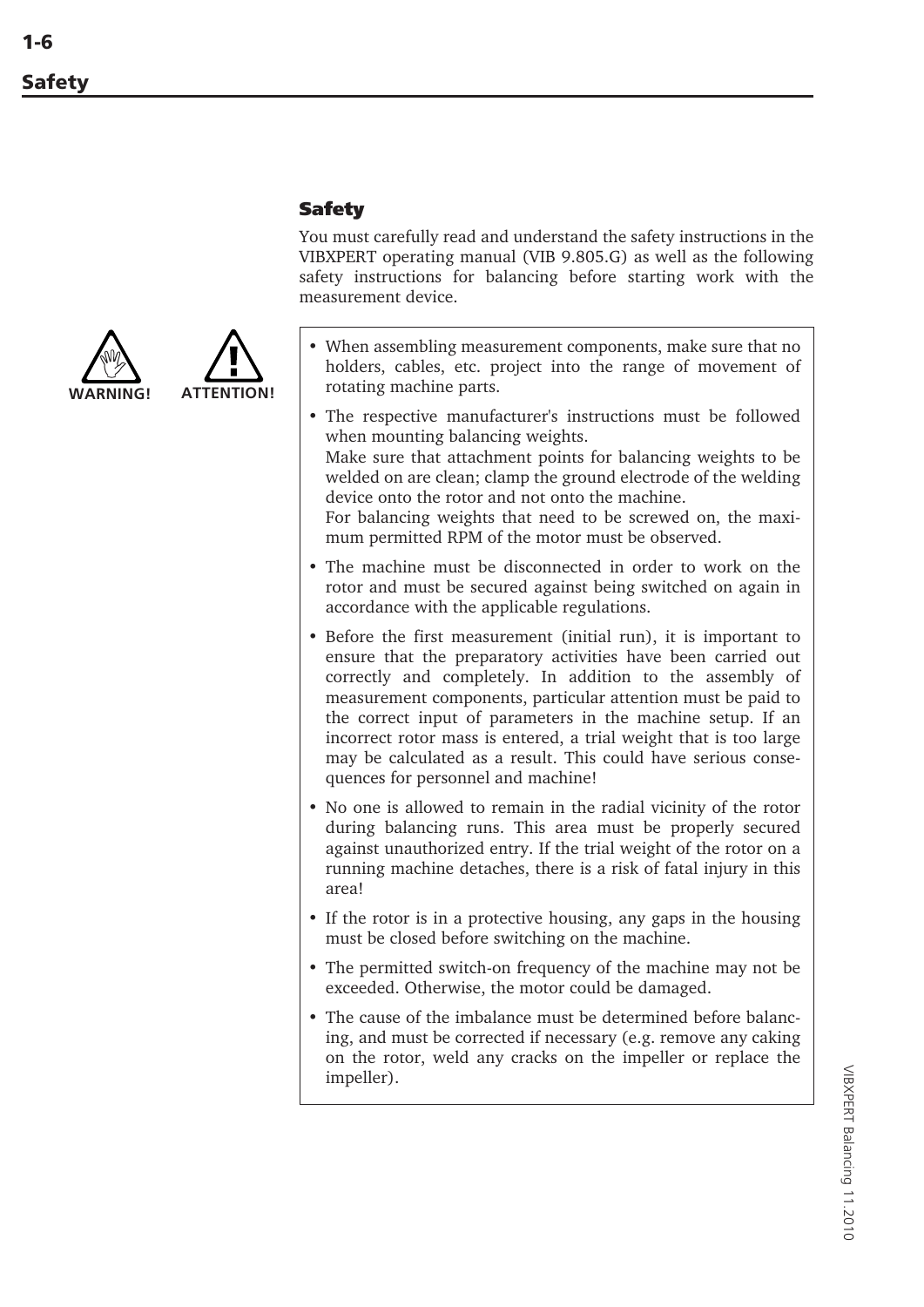<span id="page-5-0"></span>



**Safety**

You must carefully read and understand the safety instructions in the VIBXPERT operating manual (VIB 9.805.G) as well as the following safety instructions for balancing before starting work with the measurement device.

- When assembling measurement components, make sure that no holders, cables, etc. project into the range of movement of rotating machine parts.
- The respective manufacturer's instructions must be followed when mounting balancing weights. Make sure that attachment points for balancing weights to be welded on are clean; clamp the ground electrode of the welding device onto the rotor and not onto the machine. For balancing weights that need to be screwed on, the maximum permitted RPM of the motor must be observed.
- The machine must be disconnected in order to work on the rotor and must be secured against being switched on again in accordance with the applicable regulations.
- Before the first measurement (initial run), it is important to ensure that the preparatory activities have been carried out correctly and completely. In addition to the assembly of measurement components, particular attention must be paid to the correct input of parameters in the machine setup. If an incorrect rotor mass is entered, a trial weight that is too large may be calculated as a result. This could have serious consequences for personnel and machine!
- No one is allowed to remain in the radial vicinity of the rotor during balancing runs. This area must be properly secured against unauthorized entry. If the trial weight of the rotor on a running machine detaches, there is a risk of fatal injury in this area!
- If the rotor is in a protective housing, any gaps in the housing must be closed before switching on the machine.
- The permitted switch-on frequency of the machine may not be exceeded. Otherwise, the motor could be damaged.
- The cause of the imbalance must be determined before balancing, and must be corrected if necessary (e.g. remove any caking on the rotor, weld any cracks on the impeller or replace the impeller).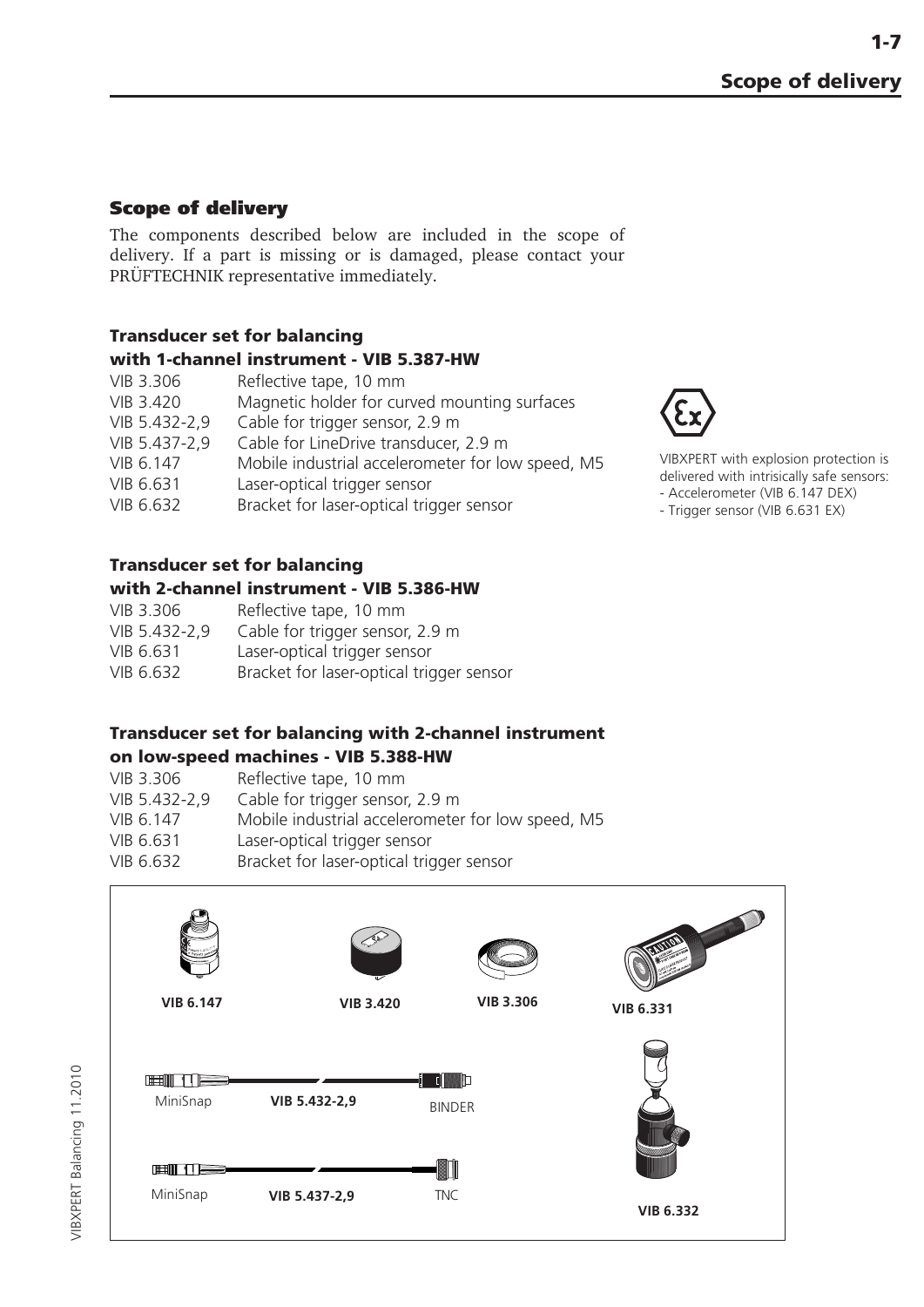# <span id="page-6-0"></span>**Scope of delivery**

The components described below are included in the scope of delivery. If a part is missing or is damaged, please contact your PRÜFTECHNIK representative immediately.

# **Transducer set for balancing**

#### **with 1-channel instrument - VIB 5.387-HW**

| VIB 3.306     | Reflective tape, 10 mm                            |
|---------------|---------------------------------------------------|
| VIB 3.420     | Magnetic holder for curved mounting surfaces      |
| VIB 5.432-2,9 | Cable for trigger sensor, 2.9 m                   |
| VIB 5.437-2,9 | Cable for LineDrive transducer, 2.9 m             |
| VIB 6.147     | Mobile industrial accelerometer for low speed, M5 |
| VIB 6.631     | Laser-optical trigger sensor                      |
| VIB 6.632     | Bracket for laser-optical trigger sensor          |

# **Transducer set for balancing**

#### **with 2-channel instrument - VIB 5.386-HW**

| Bracket for laser-optical trigger sensor |
|------------------------------------------|
|                                          |

### **Transducer set for balancing with 2-channel instrument on low-speed machines - VIB 5.388-HW**

| VIB 3.306     | Reflective tape, 10 mm                            |
|---------------|---------------------------------------------------|
| VIB 5.432-2,9 | Cable for trigger sensor, 2.9 m                   |
| VIB 6.147     | Mobile industrial accelerometer for low speed, M5 |
| VIB 6.631     | Laser-optical trigger sensor                      |
| VIB 6.632     | Bracket for laser-optical trigger sensor          |





VIBXPERT with explosion protection is delivered with intrisically safe sensors: - Accelerometer (VIB 6.147 DEX)

- Trigger sensor (VIB 6.631 EX)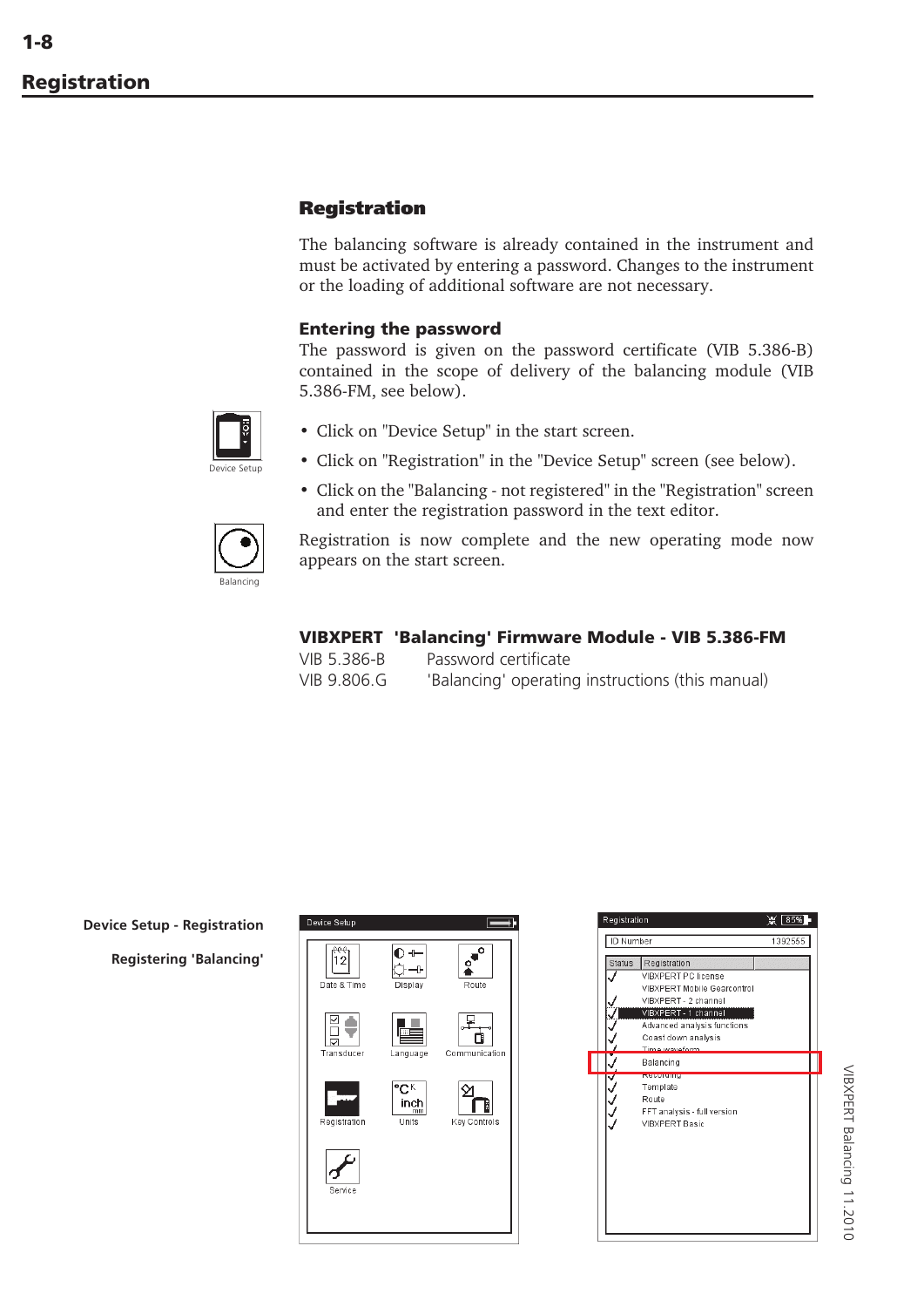# <span id="page-7-0"></span>**Registration**

The balancing software is already contained in the instrument and must be activated by entering a password. Changes to the instrument or the loading of additional software are not necessary.

# **Entering the password**

The password is given on the password certificate (VIB 5.386-B) contained in the scope of delivery of the balancing module (VIB 5.386-FM, see below).



- Click on "Device Setup" in the start screen.
- Click on "Registration" in the "Device Setup" screen (see below).
- Click on the "Balancing not registered" in the "Registration" screen and enter the registration password in the text editor.



Registration is now complete and the new operating mode now appears on the start screen.

#### **VIBXPERT 'Balancing' Firmware Module - VIB 5.386-FM**

| VIB 5.386-B | Password certificate                             |
|-------------|--------------------------------------------------|
| VIB 9.806.G | 'Balancing' operating instructions (this manual) |

**Device Setup - Registration**

**Registering 'Balancing'**





VIBXPERT Balancing 11.2010 VIBXPERT Balancing 11.2010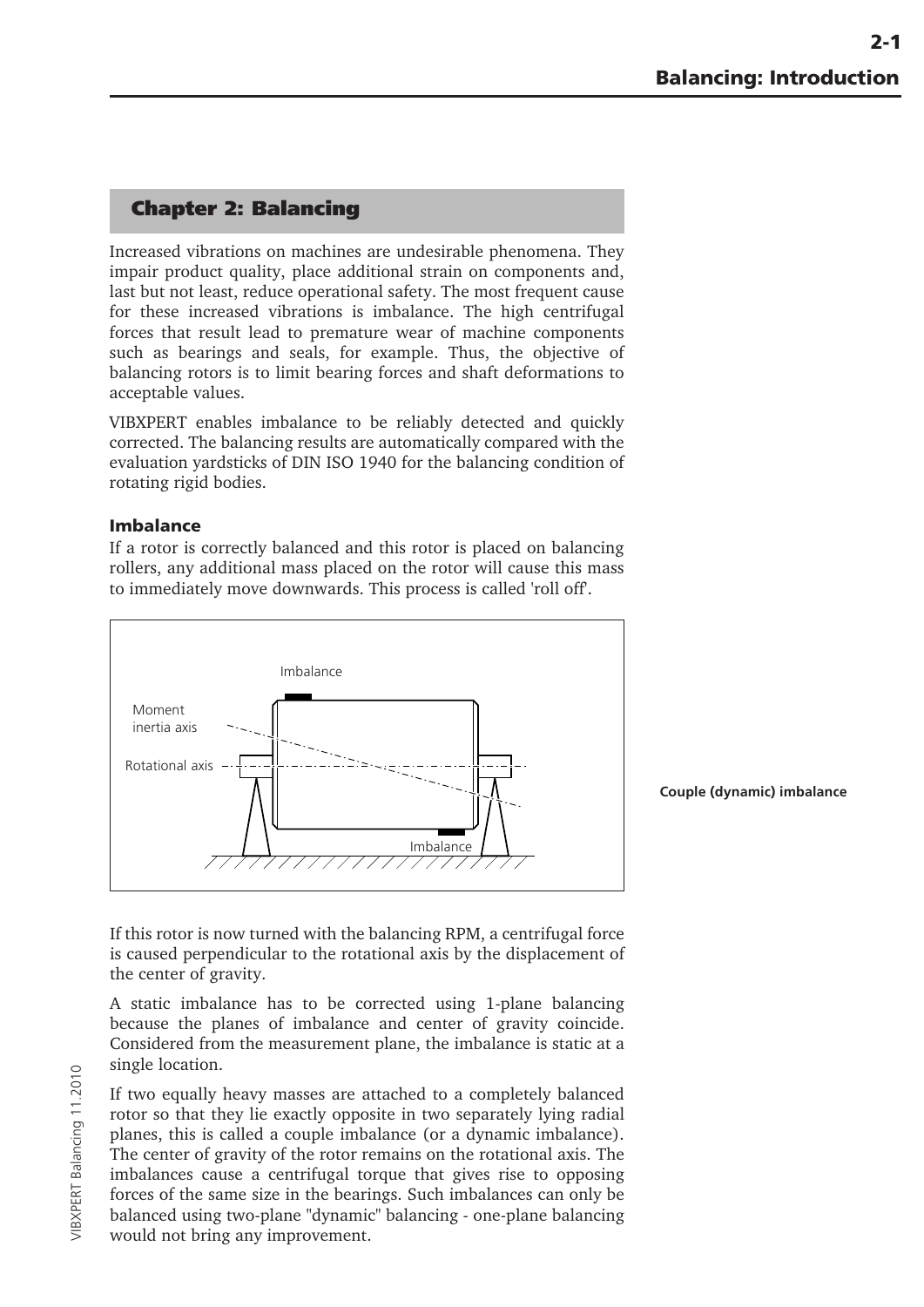# <span id="page-8-0"></span>**Chapter 2: Balancing**

Increased vibrations on machines are undesirable phenomena. They impair product quality, place additional strain on components and, last but not least, reduce operational safety. The most frequent cause for these increased vibrations is imbalance. The high centrifugal forces that result lead to premature wear of machine components such as bearings and seals, for example. Thus, the objective of balancing rotors is to limit bearing forces and shaft deformations to acceptable values.

VIBXPERT enables imbalance to be reliably detected and quickly corrected. The balancing results are automatically compared with the evaluation yardsticks of DIN ISO 1940 for the balancing condition of rotating rigid bodies.

# **Imbalance**

If a rotor is correctly balanced and this rotor is placed on balancing rollers, any additional mass placed on the rotor will cause this mass to immediately move downwards. This process is called 'roll off'.



**Couple (dynamic) imbalance**

If this rotor is now turned with the balancing RPM, a centrifugal force is caused perpendicular to the rotational axis by the displacement of the center of gravity.

A static imbalance has to be corrected using 1-plane balancing because the planes of imbalance and center of gravity coincide. Considered from the measurement plane, the imbalance is static at a single location.

If two equally heavy masses are attached to a completely balanced rotor so that they lie exactly opposite in two separately lying radial planes, this is called a couple imbalance (or a dynamic imbalance). The center of gravity of the rotor remains on the rotational axis. The imbalances cause a centrifugal torque that gives rise to opposing forces of the same size in the bearings. Such imbalances can only be balanced using two-plane "dynamic" balancing - one-plane balancing would not bring any improvement.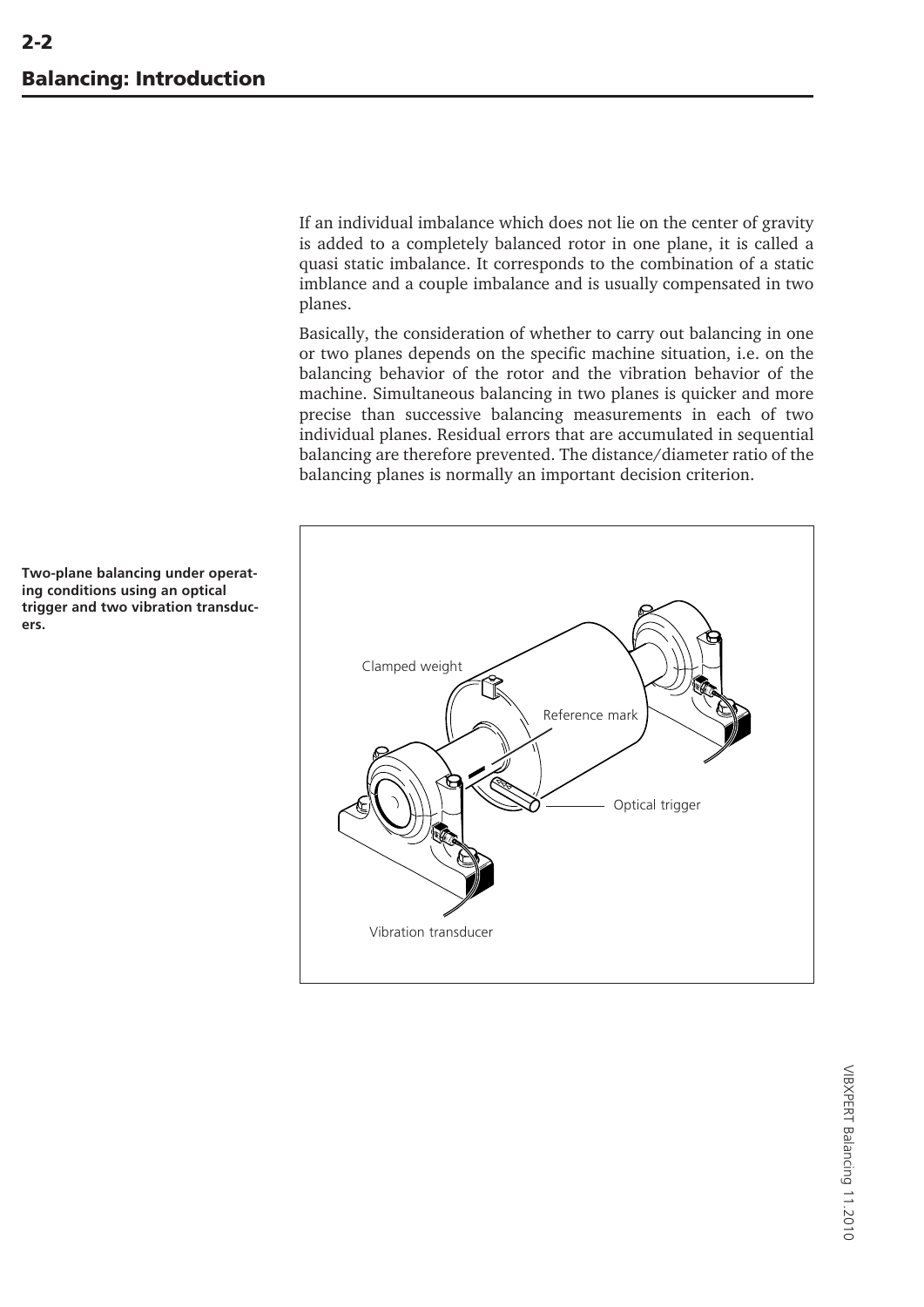If an individual imbalance which does not lie on the center of gravity is added to a completely balanced rotor in one plane, it is called a quasi static imbalance. It corresponds to the combination of a static imblance and a couple imbalance and is usually compensated in two planes.

Basically, the consideration of whether to carry out balancing in one or two planes depends on the specific machine situation, i.e. on the balancing behavior of the rotor and the vibration behavior of the machine. Simultaneous balancing in two planes is quicker and more precise than successive balancing measurements in each of two individual planes. Residual errors that are accumulated in sequential balancing are therefore prevented. The distance/diameter ratio of the balancing planes is normally an important decision criterion.



**Two-plane balancing under operating conditions using an optical trigger and two vibration transducers.**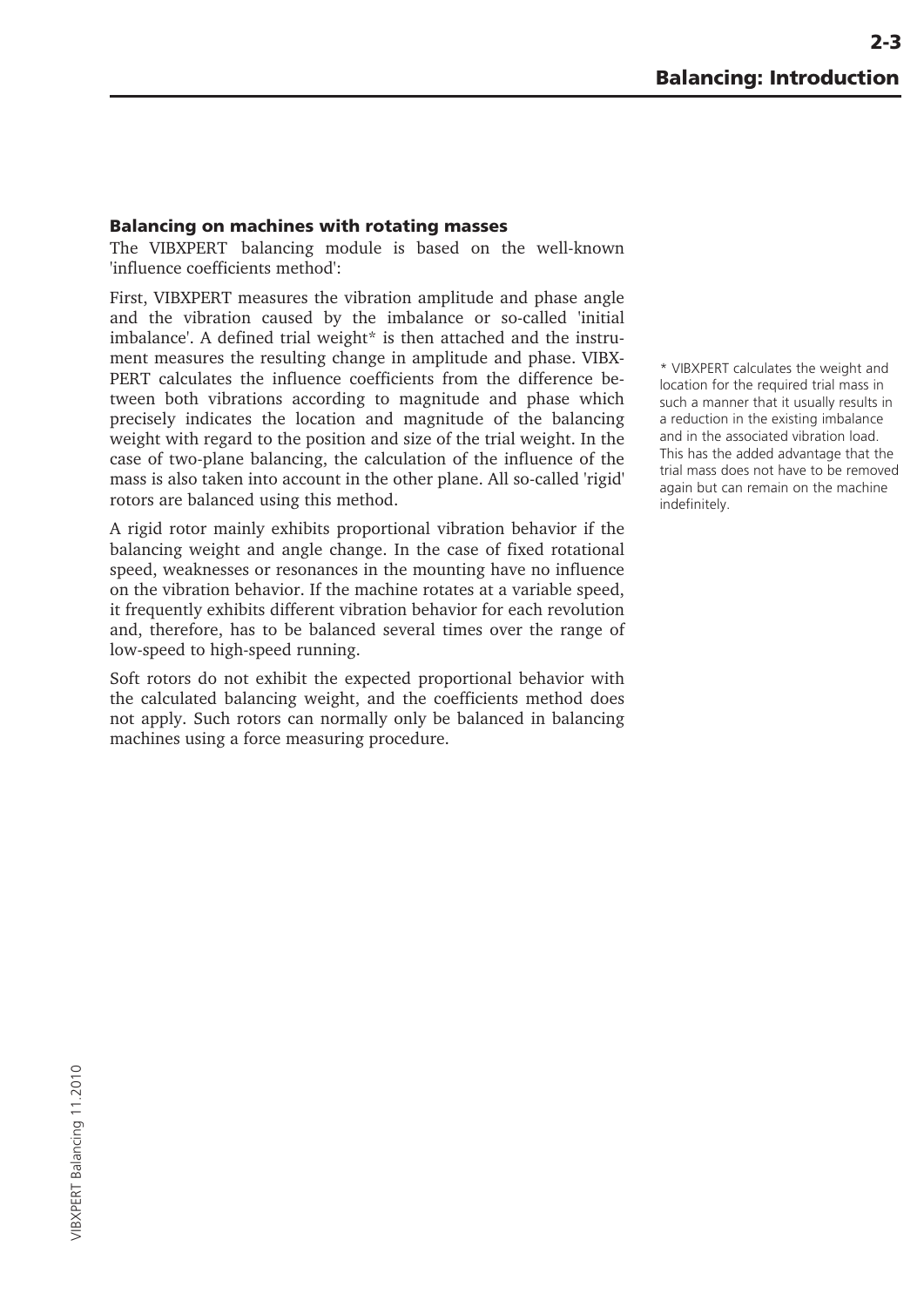#### <span id="page-10-0"></span>**Balancing on machines with rotating masses**

The VIBXPERT balancing module is based on the well-known 'influence coefficients method':

First, VIBXPERT measures the vibration amplitude and phase angle and the vibration caused by the imbalance or so-called 'initial imbalance'. A defined trial weight\* is then attached and the instrument measures the resulting change in amplitude and phase. VIBX-PERT calculates the influence coefficients from the difference between both vibrations according to magnitude and phase which precisely indicates the location and magnitude of the balancing weight with regard to the position and size of the trial weight. In the case of two-plane balancing, the calculation of the influence of the mass is also taken into account in the other plane. All so-called 'rigid' rotors are balanced using this method.

A rigid rotor mainly exhibits proportional vibration behavior if the balancing weight and angle change. In the case of fixed rotational speed, weaknesses or resonances in the mounting have no influence on the vibration behavior. If the machine rotates at a variable speed, it frequently exhibits different vibration behavior for each revolution and, therefore, has to be balanced several times over the range of low-speed to high-speed running.

Soft rotors do not exhibit the expected proportional behavior with the calculated balancing weight, and the coefficients method does not apply. Such rotors can normally only be balanced in balancing machines using a force measuring procedure.

\* VIBXPERT calculates the weight and location for the required trial mass in such a manner that it usually results in a reduction in the existing imbalance and in the associated vibration load. This has the added advantage that the trial mass does not have to be removed again but can remain on the machine indefinitely.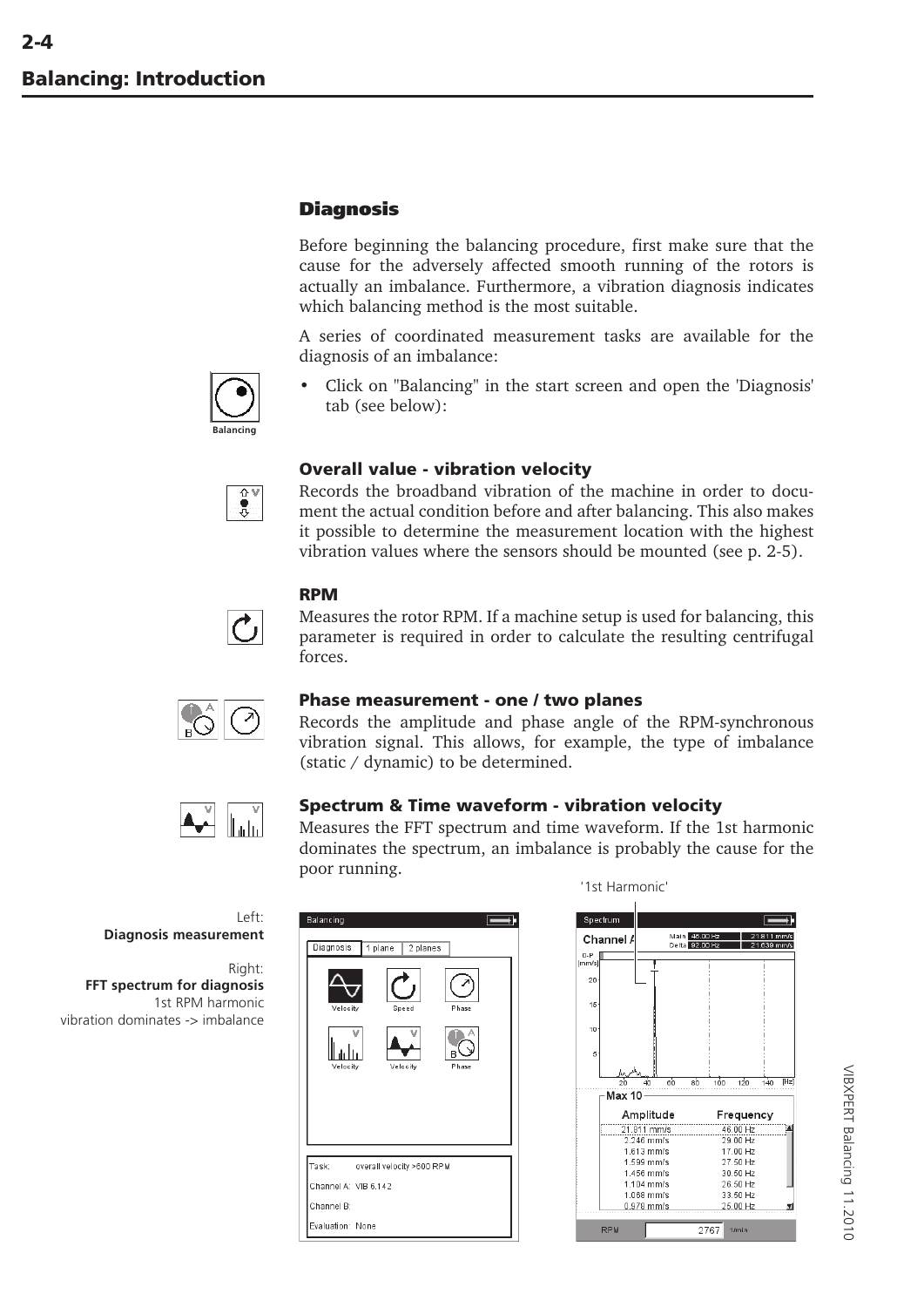# <span id="page-11-0"></span>**Diagnosis**

Before beginning the balancing procedure, first make sure that the cause for the adversely affected smooth running of the rotors is actually an imbalance. Furthermore, a vibration diagnosis indicates which balancing method is the most suitable.

A series of coordinated measurement tasks are available for the diagnosis of an imbalance:



• Click on "Balancing" in the start screen and open the 'Diagnosis' tab (see below):



# **Overall value - vibration velocity**

Records the broadband vibration of the machine in order to document the actual condition before and after balancing. This also makes it possible to determine the measurement location with the highest vibration values where the sensors should be mounted (see p. 2-5).



#### **RPM**

Measures the rotor RPM. If a machine setup is used for balancing, this parameter is required in order to calculate the resulting centrifugal forces.



#### **Phase measurement - one / two planes**

Records the amplitude and phase angle of the RPM-synchronous vibration signal. This allows, for example, the type of imbalance (static / dynamic) to be determined.



# **Spectrum & Time waveform - vibration velocity**

Measures the FFT spectrum and time waveform. If the 1st harmonic dominates the spectrum, an imbalance is probably the cause for the poor running.

Left: **Diagnosis measurement**

Right: **FFT spectrum for diagnosis** 1st RPM harmonic vibration dominates -> imbalance



'1st Harmonic'

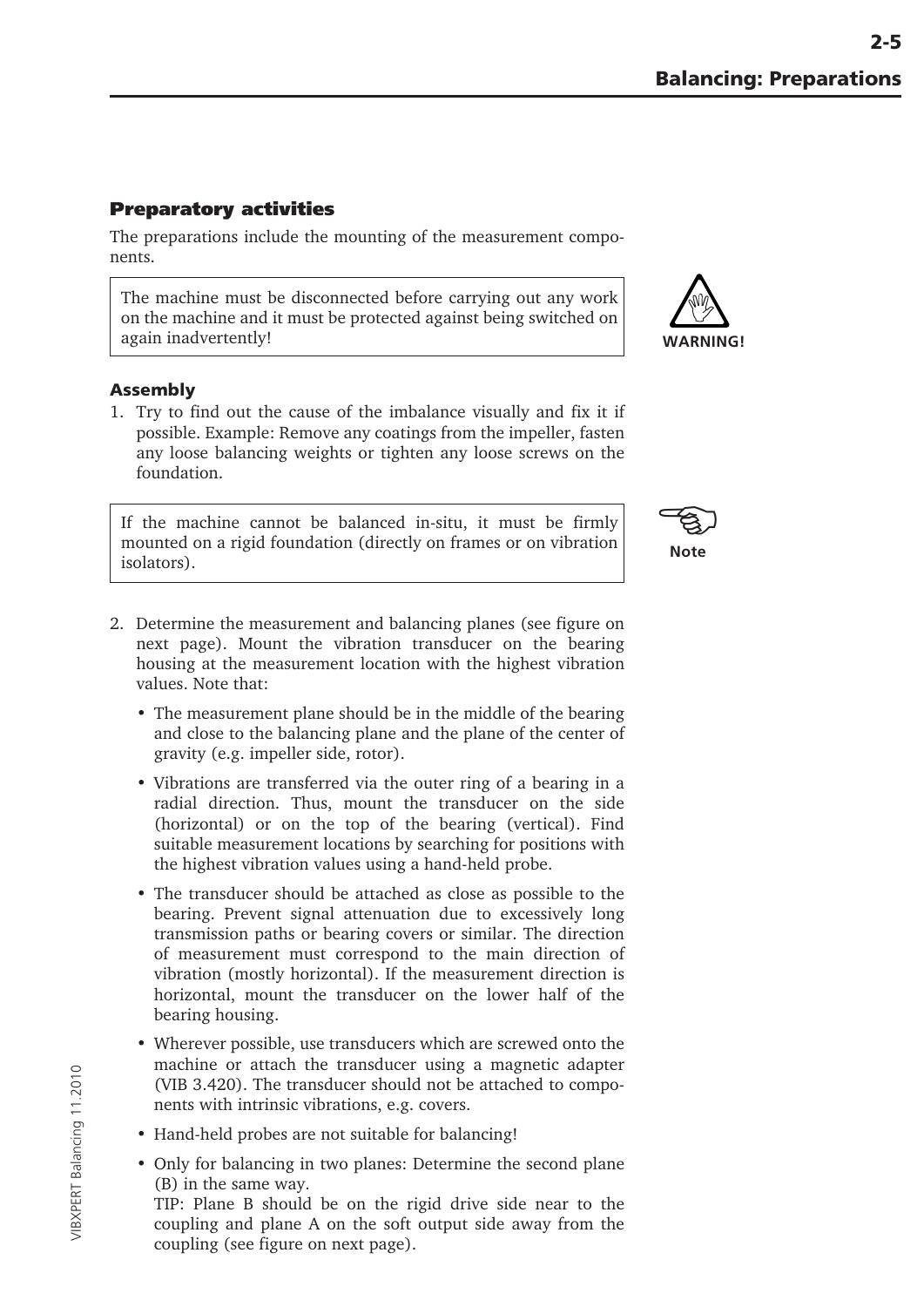# <span id="page-12-0"></span>**Preparatory activities**

The preparations include the mounting of the measurement components.

The machine must be disconnected before carrying out any work on the machine and it must be protected against being switched on again inadvertently!

# **Assembly**

1. Try to find out the cause of the imbalance visually and fix it if possible. Example: Remove any coatings from the impeller, fasten any loose balancing weights or tighten any loose screws on the foundation.

If the machine cannot be balanced in-situ, it must be firmly mounted on a rigid foundation (directly on frames or on vibration isolators).





- 2. Determine the measurement and balancing planes (see figure on next page). Mount the vibration transducer on the bearing housing at the measurement location with the highest vibration values. Note that:
	- The measurement plane should be in the middle of the bearing and close to the balancing plane and the plane of the center of gravity (e.g. impeller side, rotor).
	- Vibrations are transferred via the outer ring of a bearing in a radial direction. Thus, mount the transducer on the side (horizontal) or on the top of the bearing (vertical). Find suitable measurement locations by searching for positions with the highest vibration values using a hand-held probe.
	- The transducer should be attached as close as possible to the bearing. Prevent signal attenuation due to excessively long transmission paths or bearing covers or similar. The direction of measurement must correspond to the main direction of vibration (mostly horizontal). If the measurement direction is horizontal, mount the transducer on the lower half of the bearing housing.
	- Wherever possible, use transducers which are screwed onto the machine or attach the transducer using a magnetic adapter (VIB 3.420). The transducer should not be attached to components with intrinsic vibrations, e.g. covers.
	- Hand-held probes are not suitable for balancing!
	- Only for balancing in two planes: Determine the second plane (B) in the same way.

TIP: Plane B should be on the rigid drive side near to the coupling and plane A on the soft output side away from the coupling (see figure on next page).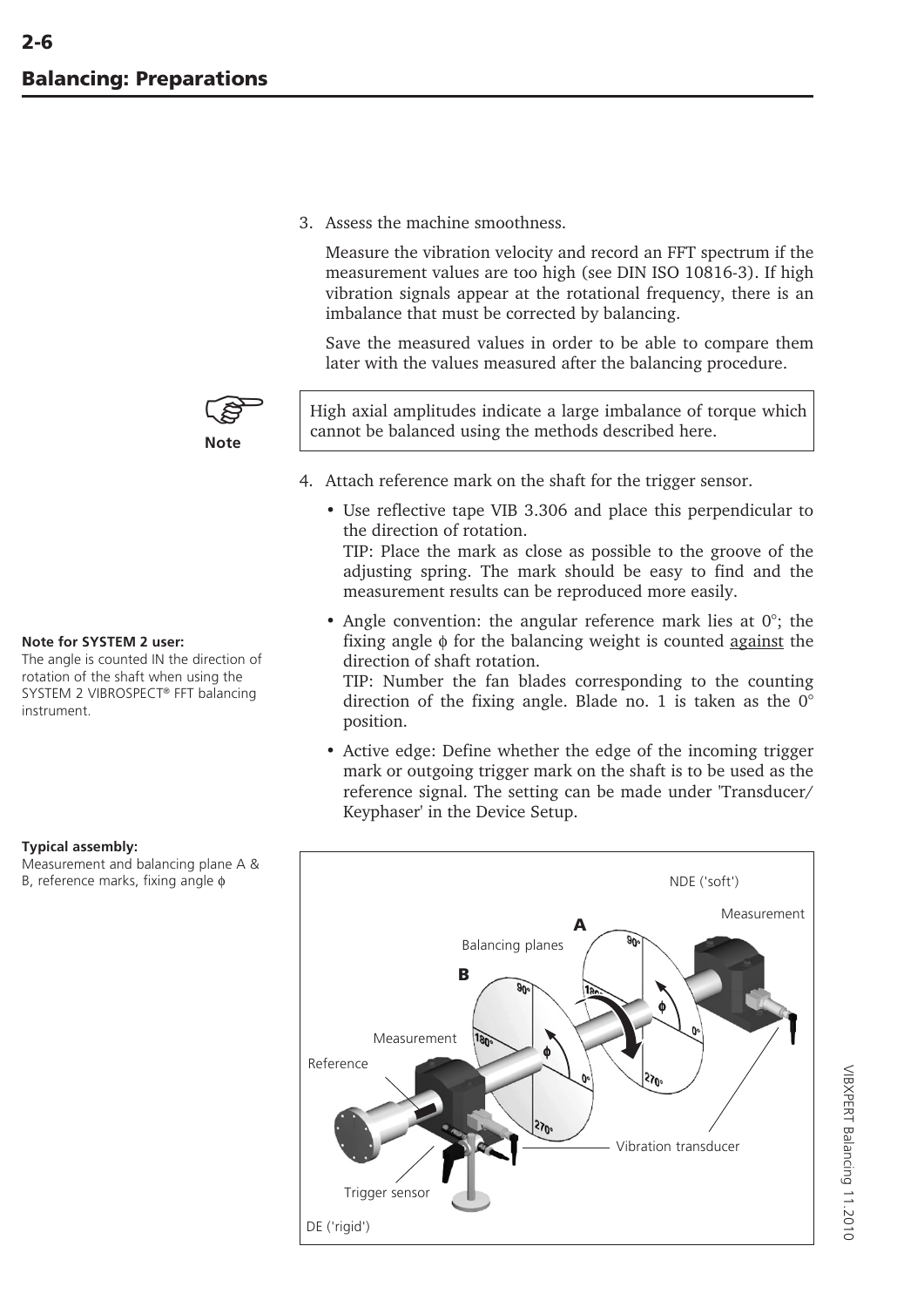3. Assess the machine smoothness.

Measure the vibration velocity and record an FFT spectrum if the measurement values are too high (see DIN ISO 10816-3). If high vibration signals appear at the rotational frequency, there is an imbalance that must be corrected by balancing.

Save the measured values in order to be able to compare them later with the values measured after the balancing procedure.



High axial amplitudes indicate a large imbalance of torque which cannot be balanced using the methods described here.

- 4. Attach reference mark on the shaft for the trigger sensor.
	- Use reflective tape VIB 3.306 and place this perpendicular to the direction of rotation. TIP: Place the mark as close as possible to the groove of the adjusting spring. The mark should be easy to find and the measurement results can be reproduced more easily.
	- Angle convention: the angular reference mark lies at 0°; the fixing angle φ for the balancing weight is counted against the direction of shaft rotation.

TIP: Number the fan blades corresponding to the counting direction of the fixing angle. Blade no. 1 is taken as the 0° position.

• Active edge: Define whether the edge of the incoming trigger mark or outgoing trigger mark on the shaft is to be used as the reference signal. The setting can be made under 'Transducer/ Keyphaser' in the Device Setup.



#### **Typical assembly:**

instrument.

**Note for SYSTEM 2 user:**

The angle is counted IN the direction of rotation of the shaft when using the SYSTEM 2 VIBROSPECT® FFT balancing

Measurement and balancing plane A & B, reference marks, fixing angle φ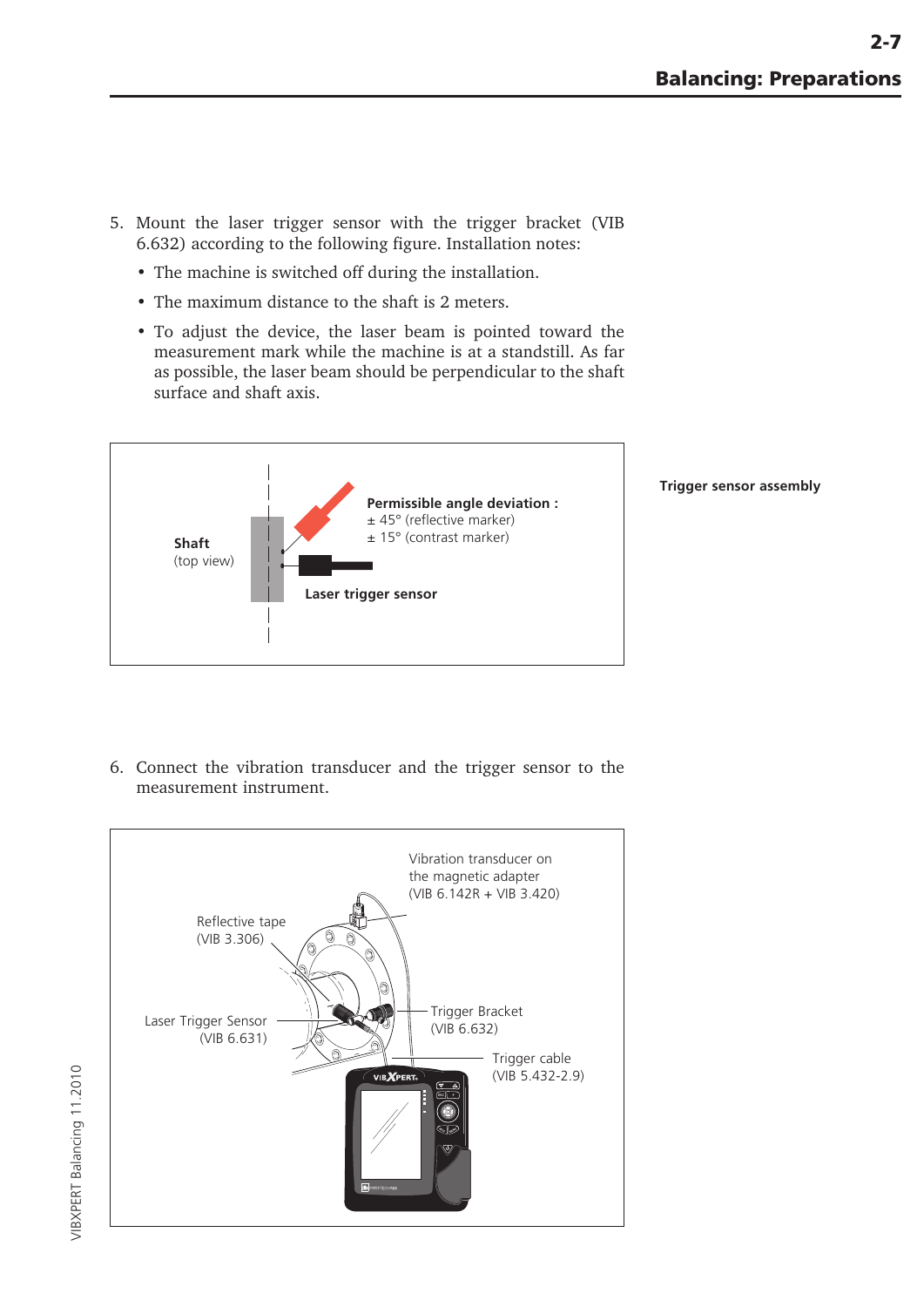- 5. Mount the laser trigger sensor with the trigger bracket (VIB 6.632) according to the following figure. Installation notes:
	- The machine is switched off during the installation.
	- The maximum distance to the shaft is 2 meters.
	- To adjust the device, the laser beam is pointed toward the measurement mark while the machine is at a standstill. As far as possible, the laser beam should be perpendicular to the shaft surface and shaft axis.



**Trigger sensor assembly**

6. Connect the vibration transducer and the trigger sensor to the measurement instrument.



VIBXPERT Balancing 11.2010 VIBXPERT Balancing 11.2010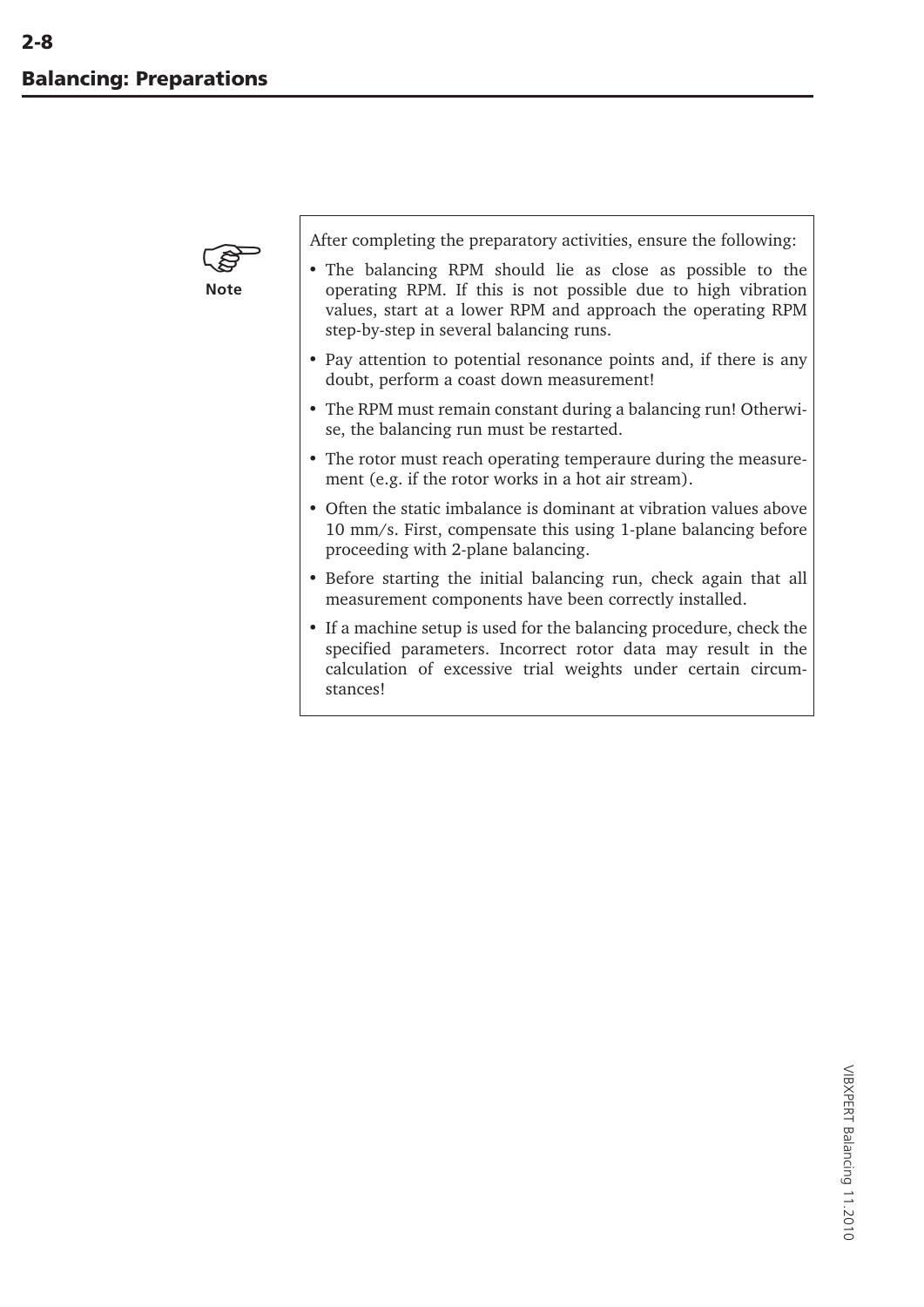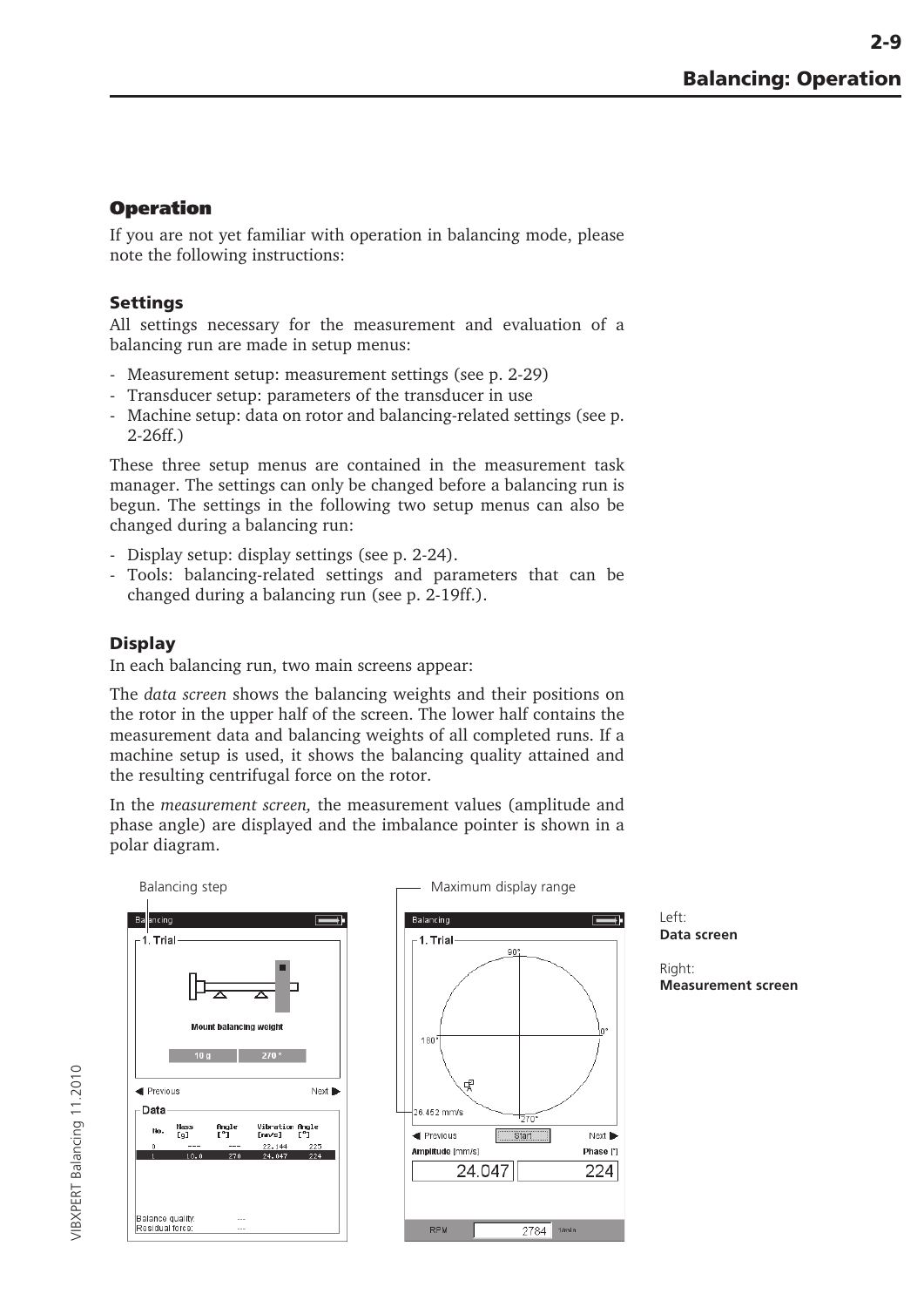# <span id="page-16-0"></span>**Operation**

If you are not yet familiar with operation in balancing mode, please note the following instructions:

# **Settings**

All settings necessary for the measurement and evaluation of a balancing run are made in setup menus:

- Measurement setup: measurement settings (see p. 2-29)
- Transducer setup: parameters of the transducer in use
- Machine setup: data on rotor and balancing-related settings (see p. 2-26ff.)

These three setup menus are contained in the measurement task manager. The settings can only be changed before a balancing run is begun. The settings in the following two setup menus can also be changed during a balancing run:

- Display setup: display settings (see p. 2-24).
- Tools: balancing-related settings and parameters that can be changed during a balancing run (see p. 2-19ff.).

# **Display**

In each balancing run, two main screens appear:

The *data screen* shows the balancing weights and their positions on the rotor in the upper half of the screen. The lower half contains the measurement data and balancing weights of all completed runs. If a machine setup is used, it shows the balancing quality attained and the resulting centrifugal force on the rotor.

In the *measurement screen,* the measurement values (amplitude and phase angle) are displayed and the imbalance pointer is shown in a polar diagram.







Right: **Measurement screen**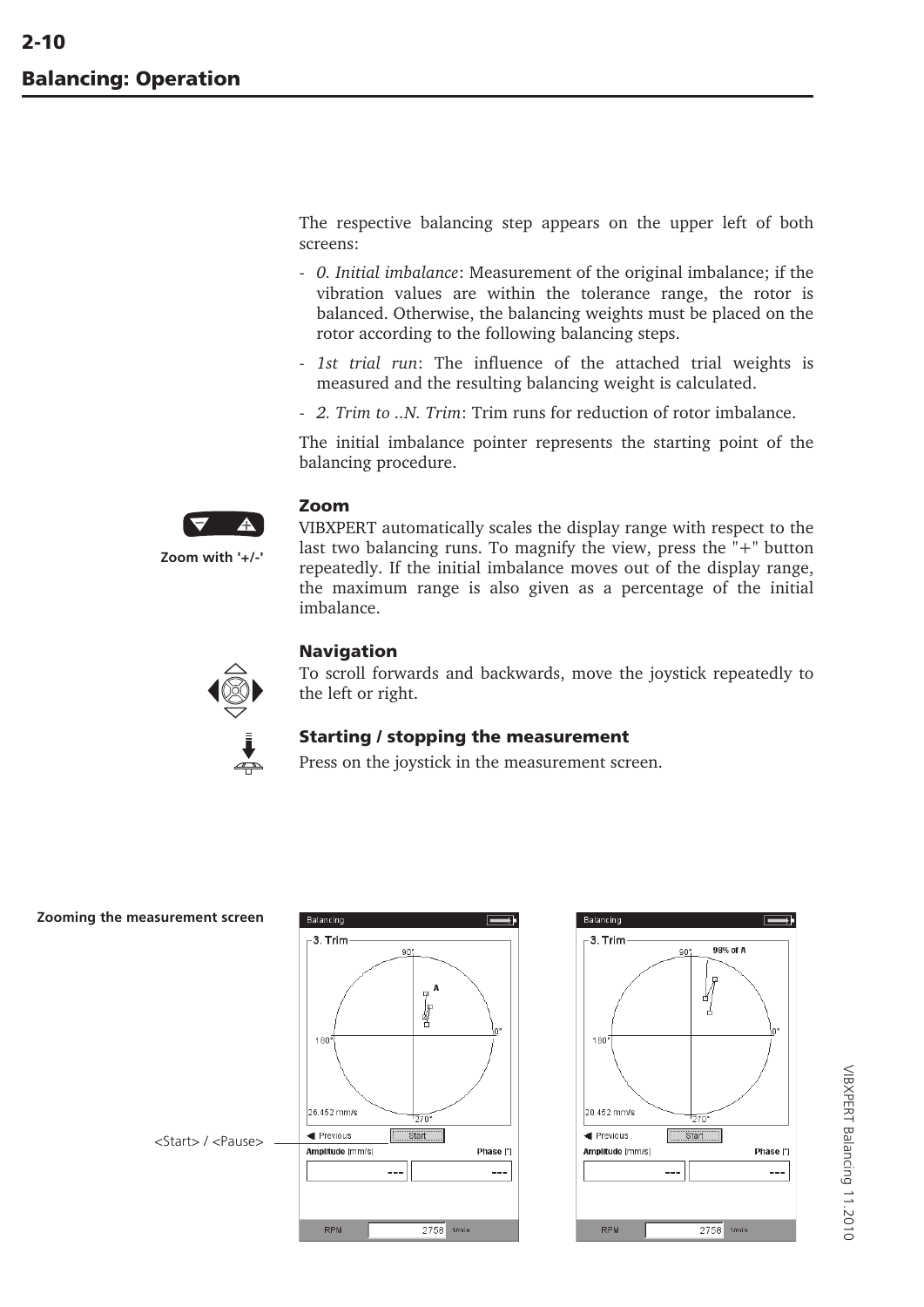The respective balancing step appears on the upper left of both screens:

- *0. Initial imbalance*: Measurement of the original imbalance; if the vibration values are within the tolerance range, the rotor is balanced. Otherwise, the balancing weights must be placed on the rotor according to the following balancing steps.
- *1st trial run*: The influence of the attached trial weights is measured and the resulting balancing weight is calculated.
- *2. Trim to ..N. Trim*: Trim runs for reduction of rotor imbalance.

The initial imbalance pointer represents the starting point of the balancing procedure.



# **Zoom**

VIBXPERT automatically scales the display range with respect to the last two balancing runs. To magnify the view, press the "+" button repeatedly. If the initial imbalance moves out of the display range, the maximum range is also given as a percentage of the initial imbalance.

# **Navigation**

To scroll forwards and backwards, move the joystick repeatedly to the left or right.

#### **Starting / stopping the measurement**

Press on the joystick in the measurement screen.





VIBXPERT Balancing 11.2010 VIBXPERT Balancing 11.2010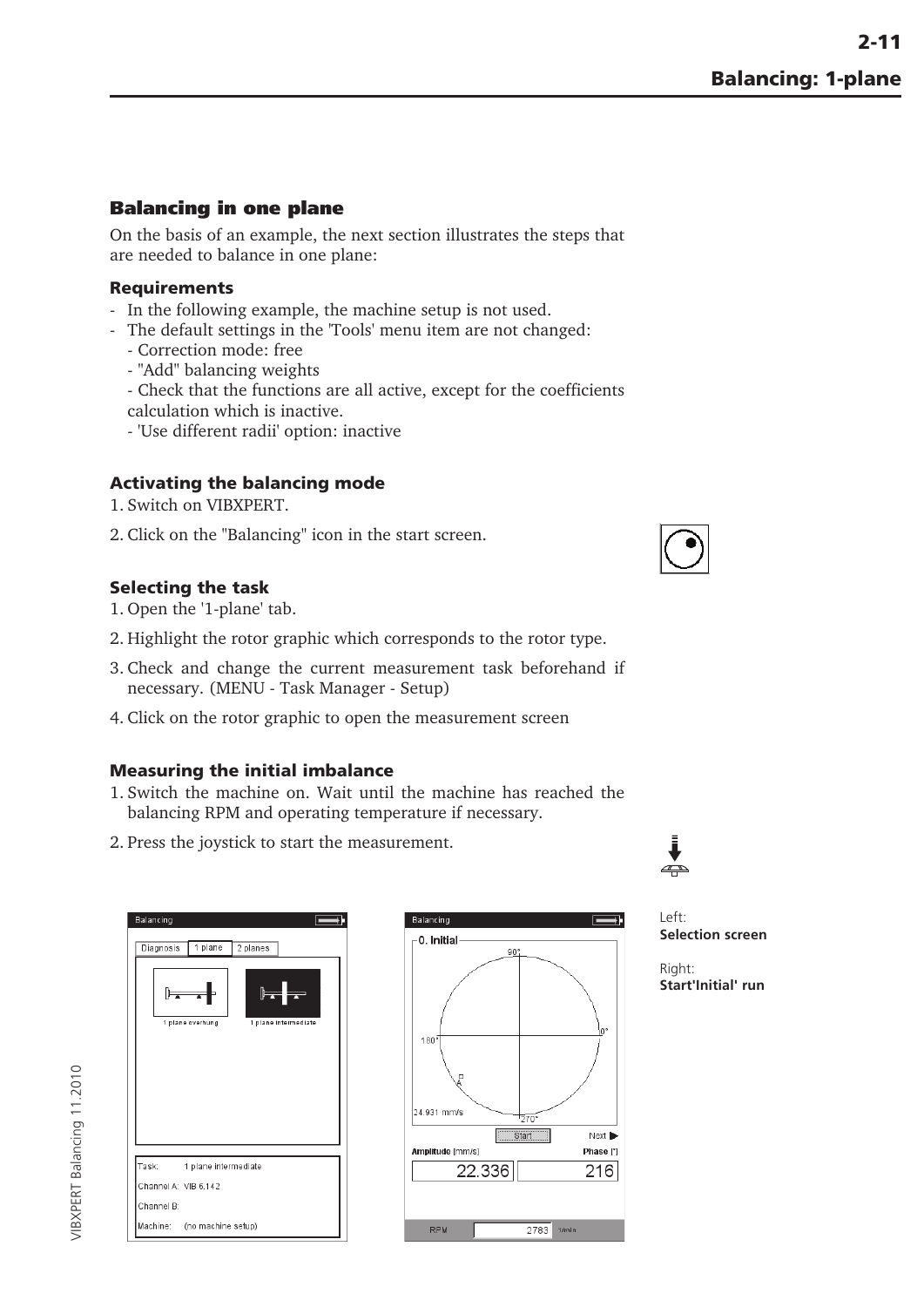# <span id="page-18-0"></span>**Balancing in one plane**

On the basis of an example, the next section illustrates the steps that are needed to balance in one plane:

# **Requirements**

- In the following example, the machine setup is not used.
- The default settings in the 'Tools' menu item are not changed:
	- Correction mode: free
	- "Add" balancing weights
	- Check that the functions are all active, except for the coefficients calculation which is inactive.
	- 'Use different radii' option: inactive

# **Activating the balancing mode**

- 1. Switch on VIBXPERT.
- 2. Click on the "Balancing" icon in the start screen.

# **Selecting the task**

- 1. Open the '1-plane' tab.
- 2. Highlight the rotor graphic which corresponds to the rotor type.
- 3. Check and change the current measurement task beforehand if necessary. (MENU - Task Manager - Setup)
- 4. Click on the rotor graphic to open the measurement screen

# **Measuring the initial imbalance**

- 1. Switch the machine on. Wait until the machine has reached the balancing RPM and operating temperature if necessary.
- 2. Press the joystick to start the measurement.

| Diagnosis  | 1 plane              | 2 planes |                      |
|------------|----------------------|----------|----------------------|
| ╟          | 1 plane overhung     |          | 1 plane intermediate |
|            |                      |          |                      |
|            | 1 plane intermediate |          |                      |
| Task:      | Channel A: VIB 6.142 |          |                      |
| Channel B: |                      |          |                      |





Left: **Selection screen**

Right<sup>-</sup> **Start'Initial' run**

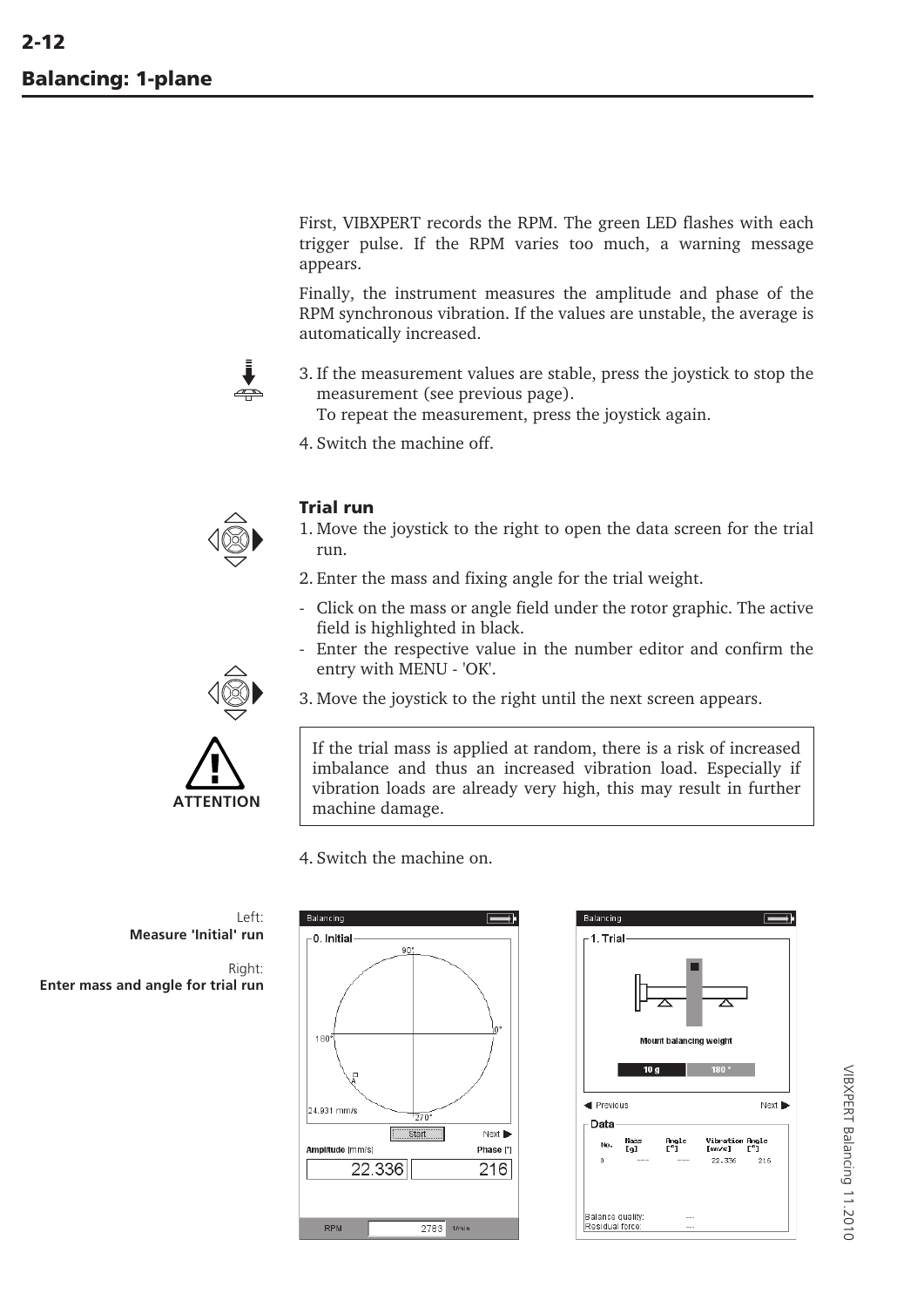<span id="page-19-0"></span>First, VIBXPERT records the RPM. The green LED flashes with each trigger pulse. If the RPM varies too much, a warning message appears.

Finally, the instrument measures the amplitude and phase of the RPM synchronous vibration. If the values are unstable, the average is automatically increased.



3. If the measurement values are stable, press the joystick to stop the measurement (see previous page). To repeat the measurement, press the joystick again.

4. Switch the machine off.



# **Trial run**

- 1. Move the joystick to the right to open the data screen for the trial run.
- 2. Enter the mass and fixing angle for the trial weight.
- Click on the mass or angle field under the rotor graphic. The active field is highlighted in black.
- Enter the respective value in the number editor and confirm the entry with MENU - 'OK'.
- 3. Move the joystick to the right until the next screen appears.



4. Switch the machine on.

Balancing 0. Initial  $90^{\circ}$ 180 24 931 mm/s  $Next$ Start Amplitude [mm/s] Phase<sup>[°]</sup> 216 22.336 **RPM**  $2783 - 1/\text{min}$ 



VIBXPERT Balancing 11.2010 VIBXPERT Balancing 11.2010

# Left: **Measure 'Initial' run**

**ATTENTION**

Right: **Enter mass and angle for trial run**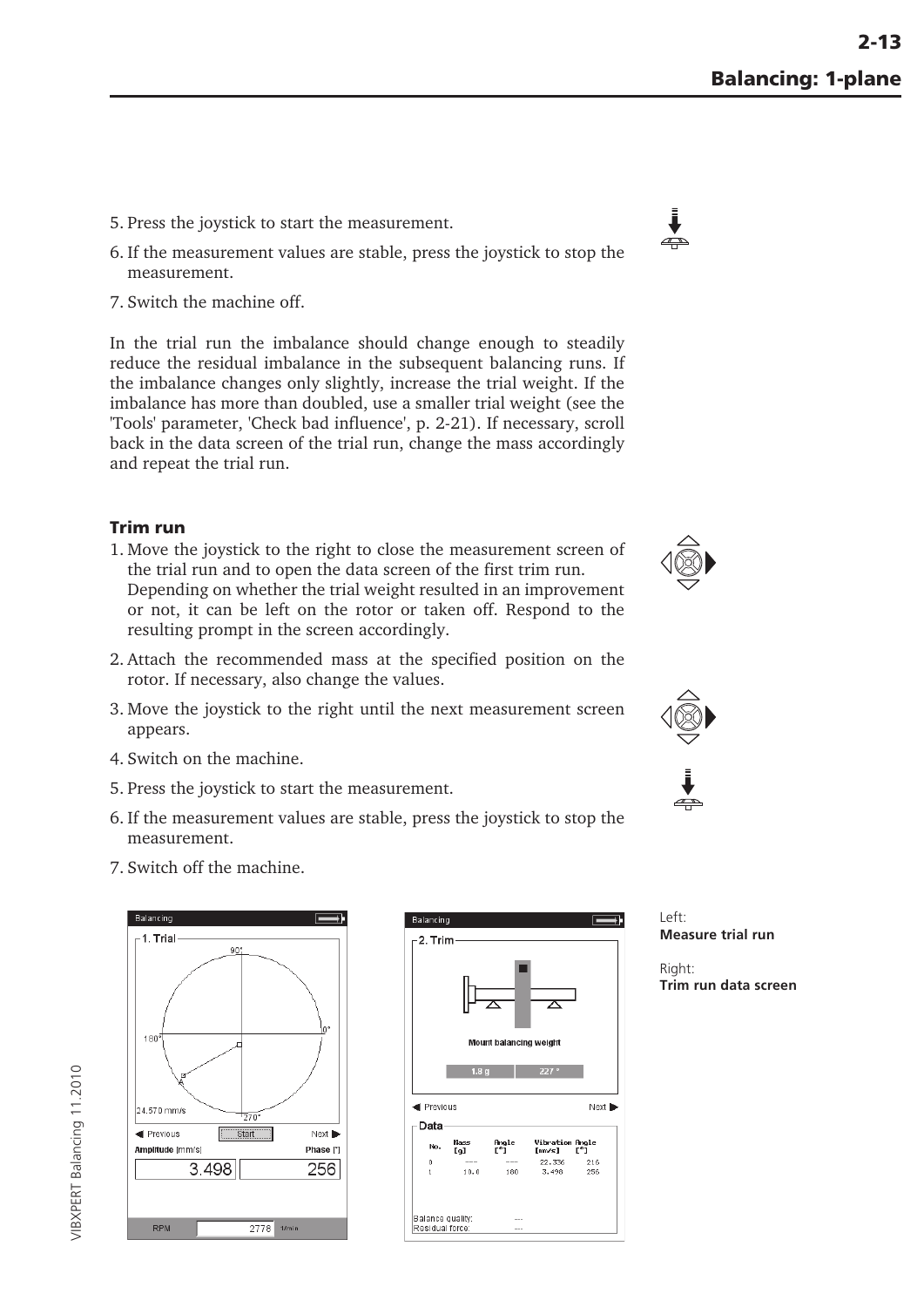- <span id="page-20-0"></span>5. Press the joystick to start the measurement.
- 6. If the measurement values are stable, press the joystick to stop the measurement.
- 7. Switch the machine off.

In the trial run the imbalance should change enough to steadily reduce the residual imbalance in the subsequent balancing runs. If the imbalance changes only slightly, increase the trial weight. If the imbalance has more than doubled, use a smaller trial weight (see the 'Tools' parameter, 'Check bad influence', p. 2-21). If necessary, scroll back in the data screen of the trial run, change the mass accordingly and repeat the trial run.

# **Trim run**

- 1. Move the joystick to the right to close the measurement screen of the trial run and to open the data screen of the first trim run. Depending on whether the trial weight resulted in an improvement or not, it can be left on the rotor or taken off. Respond to the resulting prompt in the screen accordingly.
- 2. Attach the recommended mass at the specified position on the rotor. If necessary, also change the values.
- 3. Move the joystick to the right until the next measurement screen appears.
- 4. Switch on the machine.
- 5. Press the joystick to start the measurement.
- 6. If the measurement values are stable, press the joystick to stop the measurement.
- 7. Switch off the machine.











Left: **Measure trial run**

Right: **Trim run data screen**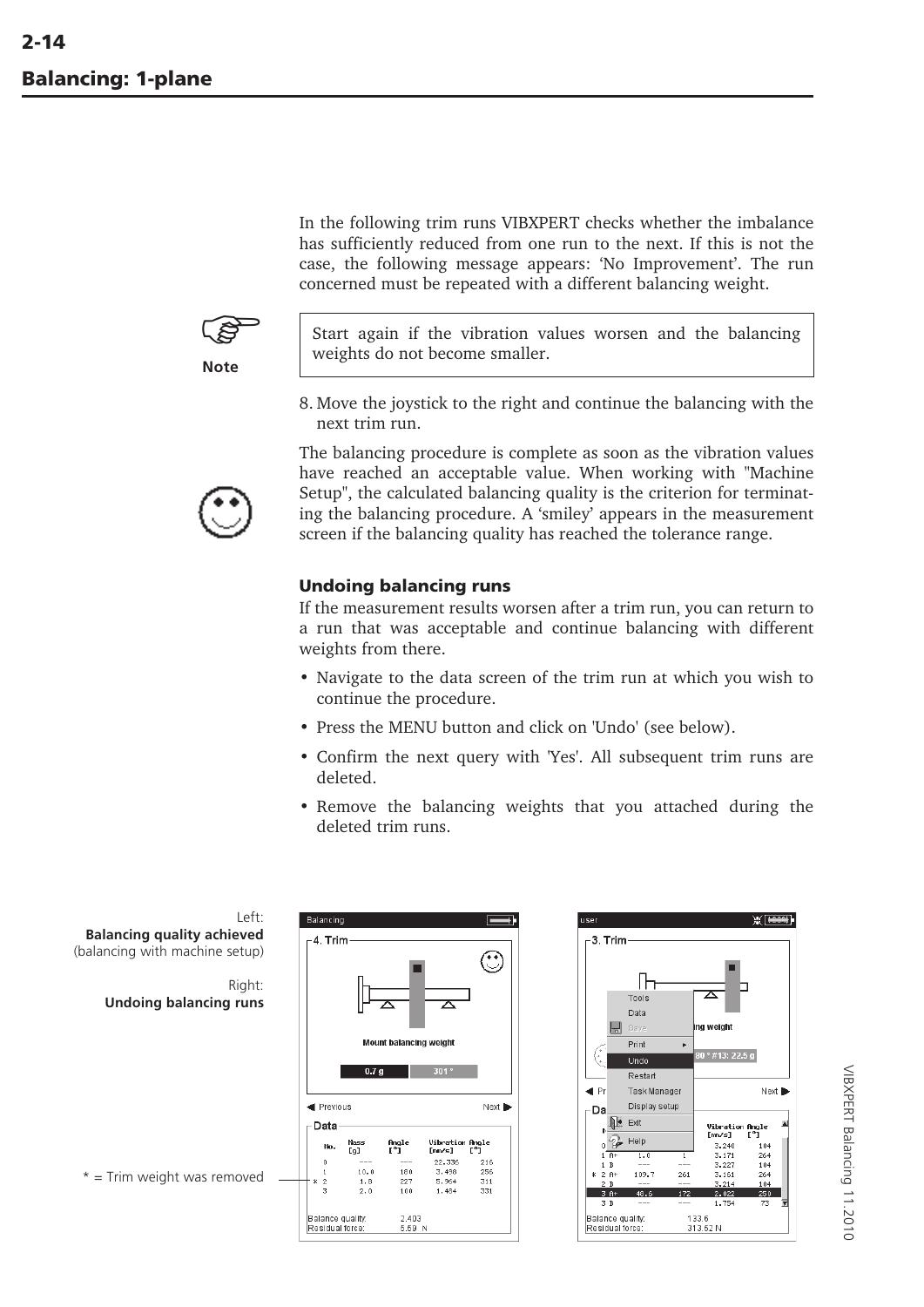In the following trim runs VIBXPERT checks whether the imbalance has sufficiently reduced from one run to the next. If this is not the case, the following message appears: 'No Improvement'. The run concerned must be repeated with a different balancing weight.

<span id="page-21-0"></span>

Start again if the vibration values worsen and the balancing weights do not become smaller.

8. Move the joystick to the right and continue the balancing with the next trim run.

The balancing procedure is complete as soon as the vibration values have reached an acceptable value. When working with "Machine Setup", the calculated balancing quality is the criterion for terminating the balancing procedure. A 'smiley' appears in the measurement screen if the balancing quality has reached the tolerance range.

#### **Undoing balancing runs**

If the measurement results worsen after a trim run, you can return to a run that was acceptable and continue balancing with different weights from there.

- Navigate to the data screen of the trim run at which you wish to continue the procedure.
- Press the MENU button and click on 'Undo' (see below).
- Confirm the next query with 'Yes'. All subsequent trim runs are deleted.
- Remove the balancing weights that you attached during the deleted trim runs.





VIBXPERT Balancing 11.2010 VIBXPERT Balancing 11.2010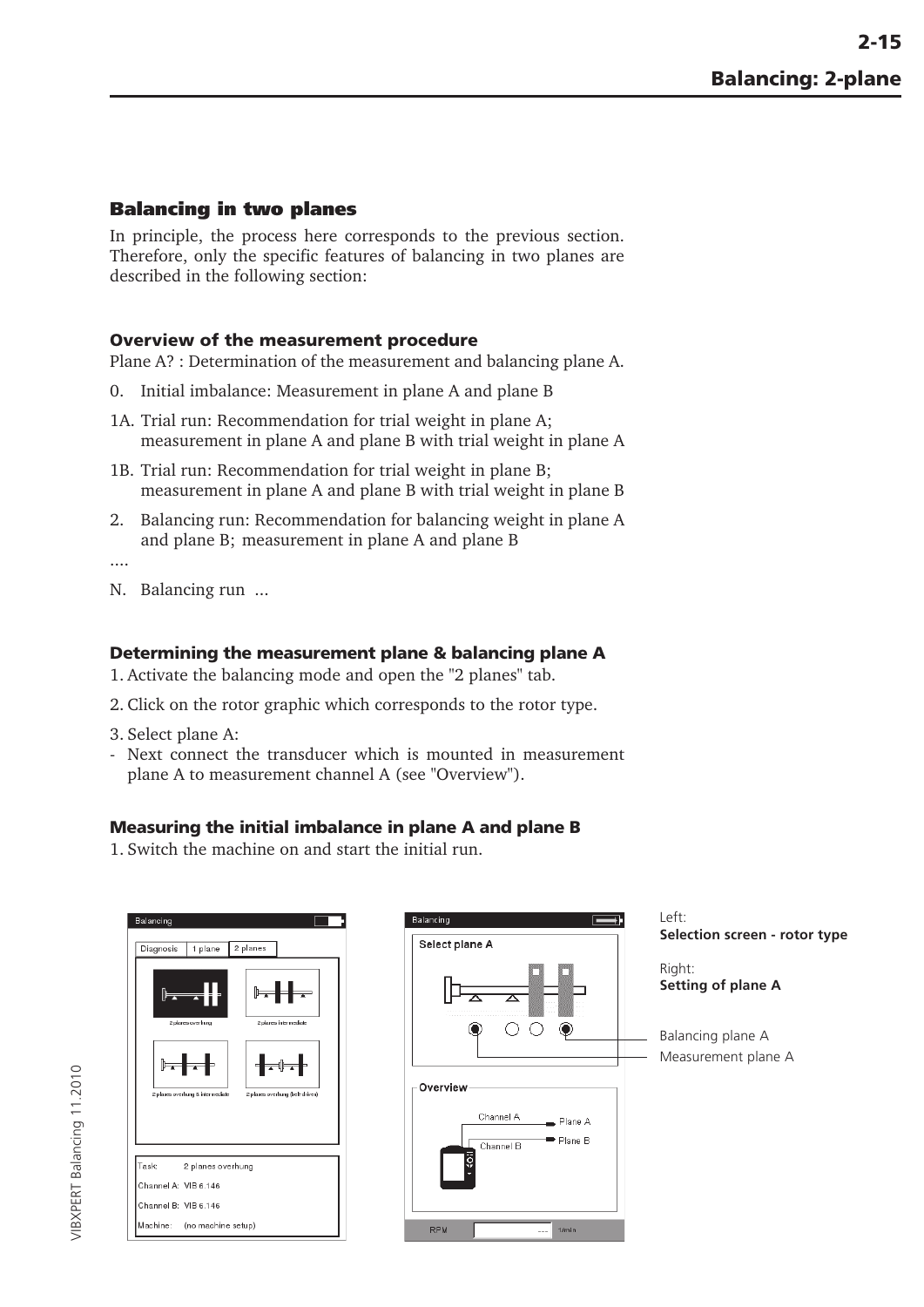# <span id="page-22-0"></span>**Balancing in two planes**

In principle, the process here corresponds to the previous section. Therefore, only the specific features of balancing in two planes are described in the following section:

# **Overview of the measurement procedure**

Plane A? : Determination of the measurement and balancing plane A.

- 0. Initial imbalance: Measurement in plane A and plane B
- 1A. Trial run: Recommendation for trial weight in plane A; measurement in plane A and plane B with trial weight in plane A
- 1B. Trial run: Recommendation for trial weight in plane B; measurement in plane A and plane B with trial weight in plane B
- 2. Balancing run: Recommendation for balancing weight in plane A and plane B; measurement in plane A and plane B
- ....
- N. Balancing run ...

# **Determining the measurement plane & balancing plane A**

- 1. Activate the balancing mode and open the "2 planes" tab.
- 2. Click on the rotor graphic which corresponds to the rotor type.
- 3. Select plane A:
- Next connect the transducer which is mounted in measurement plane A to measurement channel A (see "Overview").

# **Measuring the initial imbalance in plane A and plane B**

1. Switch the machine on and start the initial run.





Left: **Selection screen - rotor type**

Right: **Setting of plane A**

Measurement plane A Balancing plane A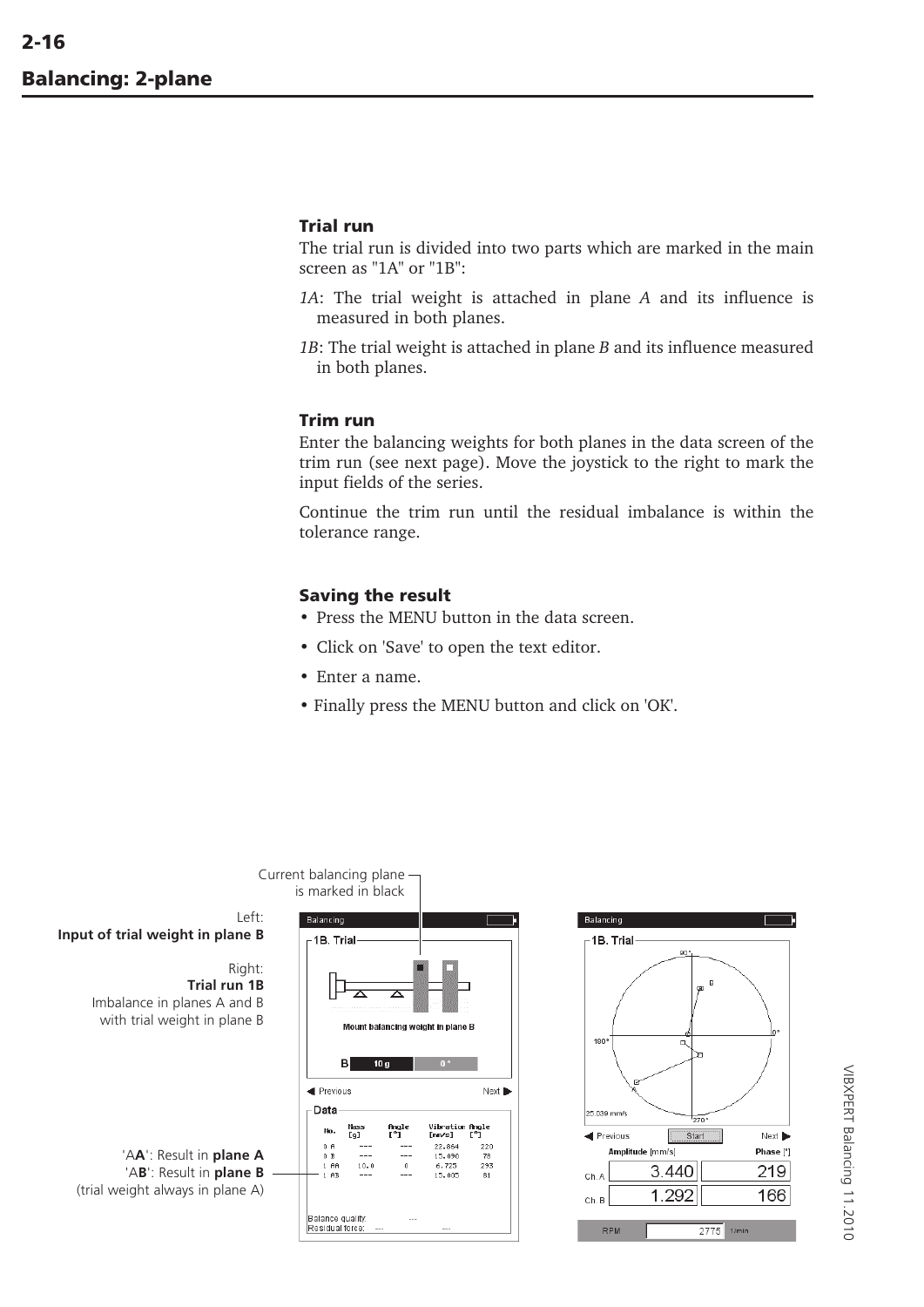### <span id="page-23-0"></span>**Trial run**

The trial run is divided into two parts which are marked in the main screen as "1A" or "1B":

- *1A*: The trial weight is attached in plane *A* and its influence is measured in both planes.
- *1B*: The trial weight is attached in plane *B* and its influence measured in both planes.

#### **Trim run**

Enter the balancing weights for both planes in the data screen of the trim run (see next page). Move the joystick to the right to mark the input fields of the series.

Continue the trim run until the residual imbalance is within the tolerance range.

#### **Saving the result**

- Press the MENU button in the data screen.
- Click on 'Save' to open the text editor.
- Enter a name.
- Finally press the MENU button and click on 'OK'.



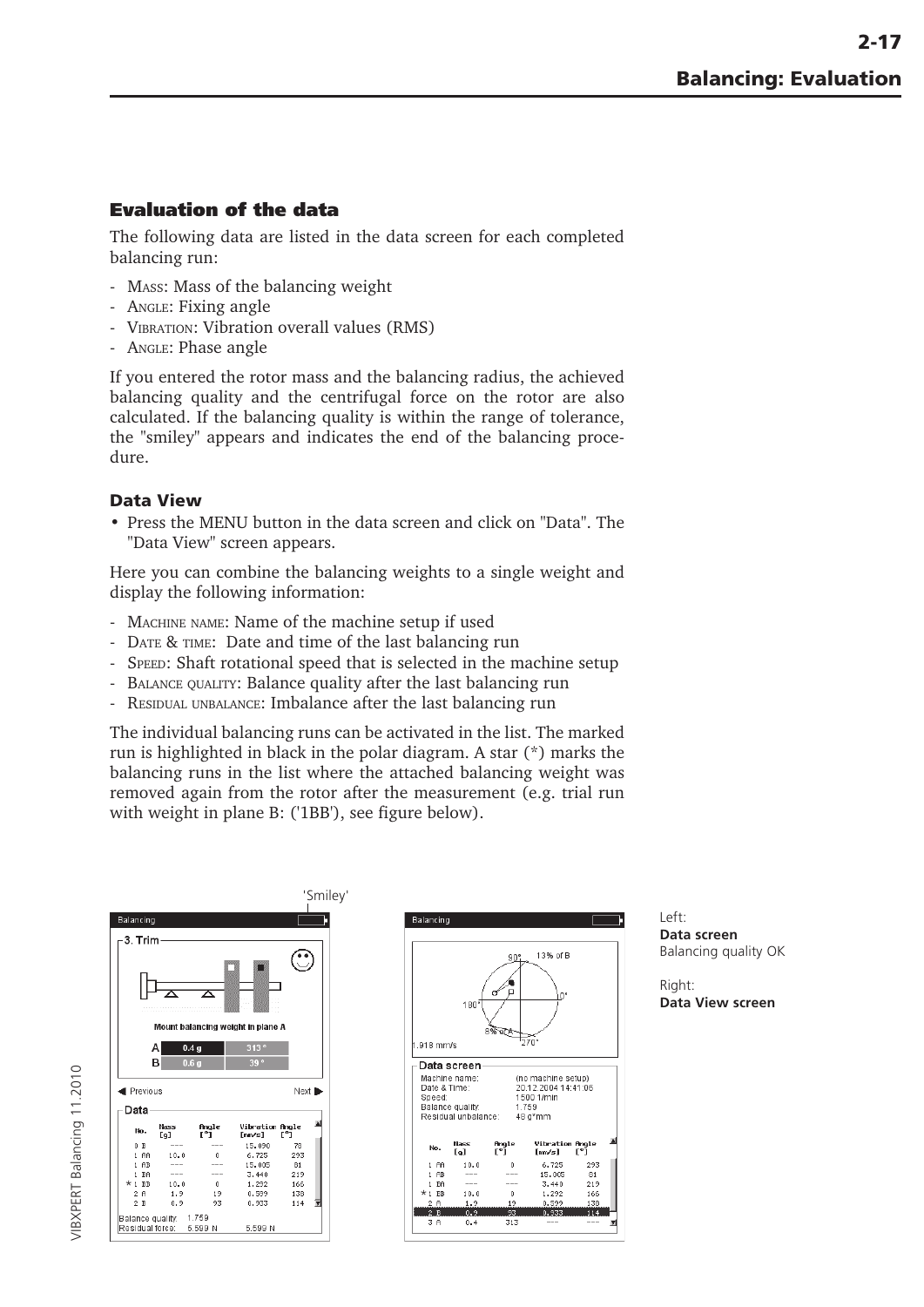# <span id="page-24-0"></span>**Evaluation of the data**

The following data are listed in the data screen for each completed balancing run:

- MASS: Mass of the balancing weight
- ANGLE: Fixing angle
- VIBRATION: Vibration overall values (RMS)
- ANGLE: Phase angle

If you entered the rotor mass and the balancing radius, the achieved balancing quality and the centrifugal force on the rotor are also calculated. If the balancing quality is within the range of tolerance, the "smiley" appears and indicates the end of the balancing procedure.

# **Data View**

• Press the MENU button in the data screen and click on "Data". The "Data View" screen appears.

Here you can combine the balancing weights to a single weight and display the following information:

- MACHINE NAME: Name of the machine setup if used
- DATE & TIME: Date and time of the last balancing run
- SPEED: Shaft rotational speed that is selected in the machine setup
- BALANCE QUALITY: Balance quality after the last balancing run
- RESIDUAL UNBALANCE: Imbalance after the last balancing run

The individual balancing runs can be activated in the list. The marked run is highlighted in black in the polar diagram. A star (\*) marks the balancing runs in the list where the attached balancing weight was removed again from the rotor after the measurement (e.g. trial run with weight in plane B: ('1BB'), see figure below).



| $1.918$ mm/s           | $180^{\circ}$                                            | 90°<br>৪% রাগ | 13% of B<br>270"                                                   |     |
|------------------------|----------------------------------------------------------|---------------|--------------------------------------------------------------------|-----|
|                        |                                                          |               |                                                                    |     |
|                        | Data screen                                              |               |                                                                    |     |
| Date & Time:<br>Speed: | Machine name:<br>Balance quality:<br>Residual unbalance: | 1.759         | (no machine setup)<br>20.12.2004 14:41:06<br>1500 1/min<br>48 g*mm |     |
| No.                    | Nass<br>[a]                                              | Angle<br>r°ī  | Vibration Angle<br>fmm/s1                                          | г°ī |
| $1$ AA                 | 10.0                                                     | n             | 6.725                                                              | 293 |
| <b>AB</b><br>1         |                                                          |               | 15.005                                                             | 81  |
| $1$ BA                 |                                                          |               | 3.440                                                              | 219 |
| $\star$ 1 BB           | 10.0                                                     | 0.            | 1.292<br>0.599                                                     | 166 |

Left: **Data screen** Balancing quality OK

Right: **Data View screen**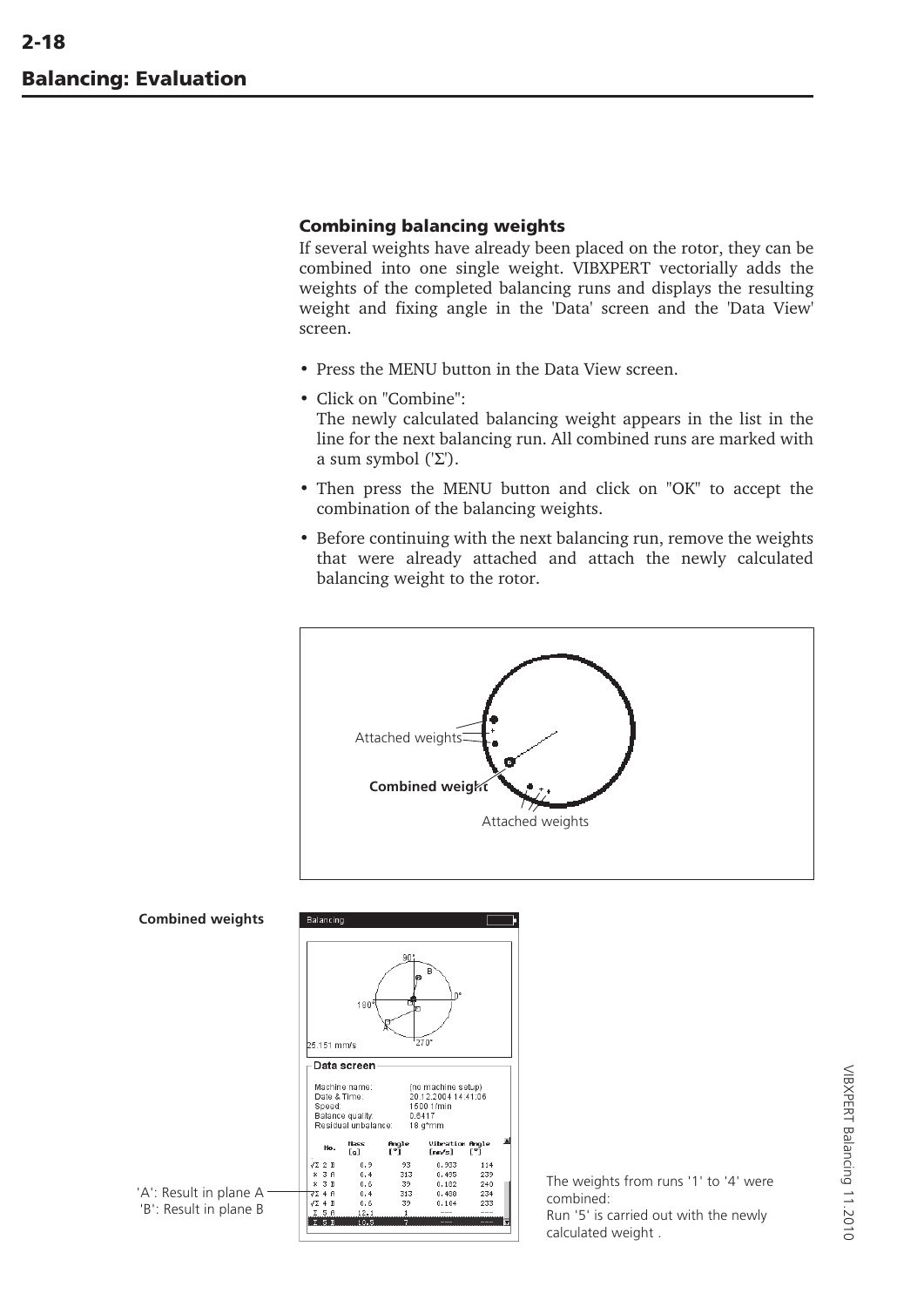# <span id="page-25-0"></span>**Combining balancing weights**

If several weights have already been placed on the rotor, they can be combined into one single weight. VIBXPERT vectorially adds the weights of the completed balancing runs and displays the resulting weight and fixing angle in the 'Data' screen and the 'Data View' screen.

- Press the MENU button in the Data View screen.
- Click on "Combine": The newly calculated balancing weight appears in the list in the line for the next balancing run. All combined runs are marked with a sum symbol ('Σ').
- Then press the MENU button and click on "OK" to accept the combination of the balancing weights.
- Before continuing with the next balancing run, remove the weights that were already attached and attach the newly calculated balancing weight to the rotor.





The weights from runs '1' to '4' were combined: Run '5' is carried out with the newly

calculated weight .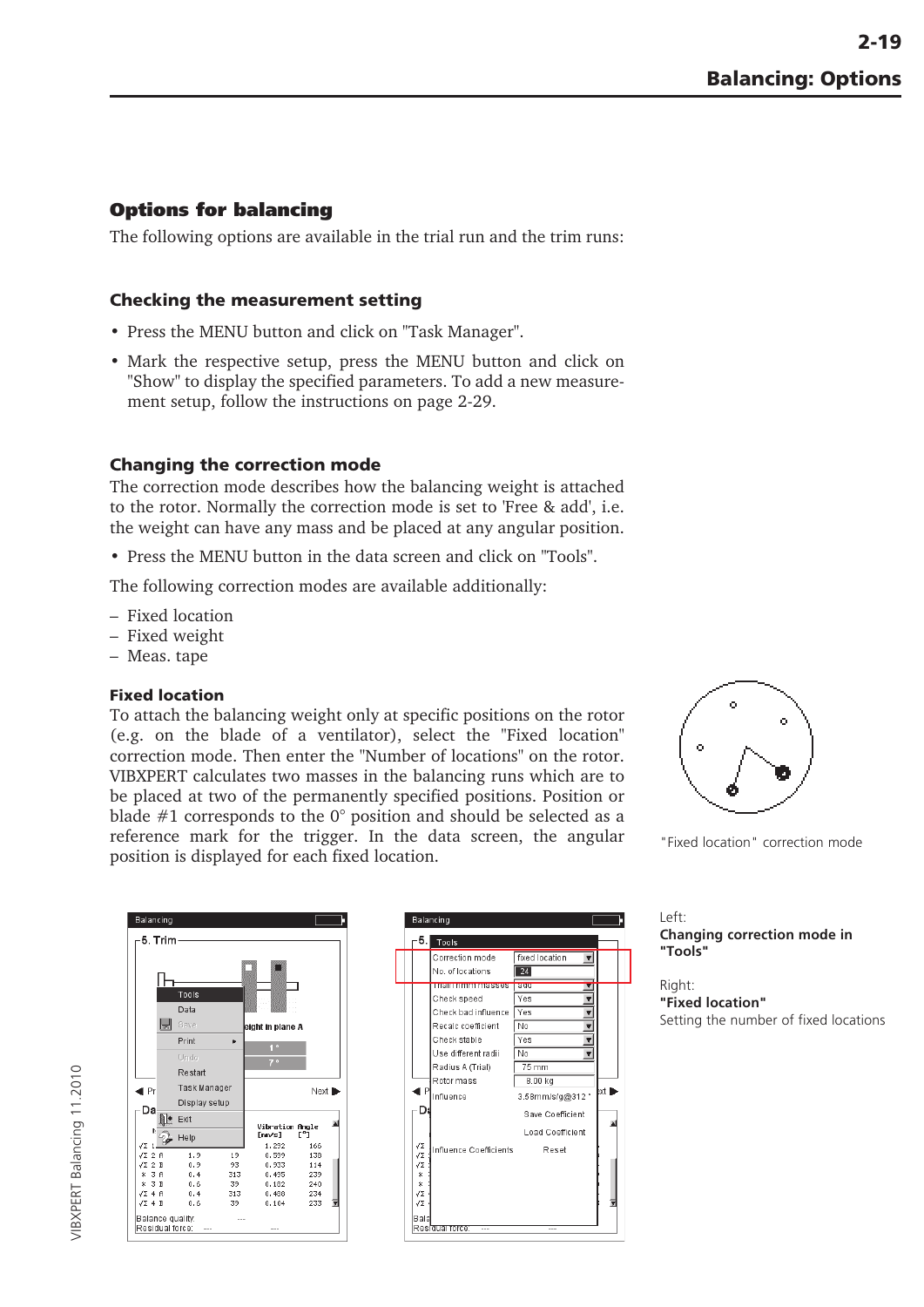# <span id="page-26-0"></span>**Options for balancing**

The following options are available in the trial run and the trim runs:

# **Checking the measurement setting**

- Press the MENU button and click on "Task Manager".
- Mark the respective setup, press the MENU button and click on "Show" to display the specified parameters. To add a new measurement setup, follow the instructions on page 2-29.

#### **Changing the correction mode**

The correction mode describes how the balancing weight is attached to the rotor. Normally the correction mode is set to 'Free & add', i.e. the weight can have any mass and be placed at any angular position.

• Press the MENU button in the data screen and click on "Tools".

The following correction modes are available additionally:

- Fixed location
- Fixed weight
- Meas. tape

#### **Fixed location**

To attach the balancing weight only at specific positions on the rotor (e.g. on the blade of a ventilator), select the "Fixed location" correction mode. Then enter the "Number of locations" on the rotor. VIBXPERT calculates two masses in the balancing runs which are to be placed at two of the permanently specified positions. Position or blade  $#1$  corresponds to the  $0^{\circ}$  position and should be selected as a reference mark for the trigger. In the data screen, the angular position is displayed for each fixed location.



"Fixed location" correction mode

|                                | Tools         |           |                  |                |   |
|--------------------------------|---------------|-----------|------------------|----------------|---|
|                                | Data          |           |                  |                |   |
| ᆔ                              | Save          |           | eight in plane A |                |   |
|                                | Print         | ×.        | ø                |                |   |
|                                | Undo          |           |                  |                |   |
|                                | Restart       |           | 7°               |                |   |
|                                |               |           |                  |                |   |
| d Pr                           | Task Manager  |           |                  | Next <b>ID</b> |   |
| Da                             | Display setup |           |                  |                |   |
|                                | Exit          |           | Vibration Angle  |                | л |
| М                              | Help          |           | ImMs1            | г°ī            |   |
|                                |               |           | 1.292            | 166<br>138     |   |
| JΣ                             |               |           |                  |                |   |
| $\sqrt{2}$ 2 A                 | 1.9           | 19        | 0.599            |                |   |
| $\sqrt{2}$ 2 B                 | 0.9           | 93        | 0.933            | 114            |   |
| * 3 A                          | 0.4           | 313       | 0.495            | 239            |   |
| 3B<br>$\ast$<br>$\sqrt{2}$ 4 A | 0.6<br>0.4    | 39<br>313 | 0.182<br>0.488   | 240<br>234     |   |



Left: **Changing correction mode in "Tools"**

Right: **"Fixed location"** Setting the number of fixed locations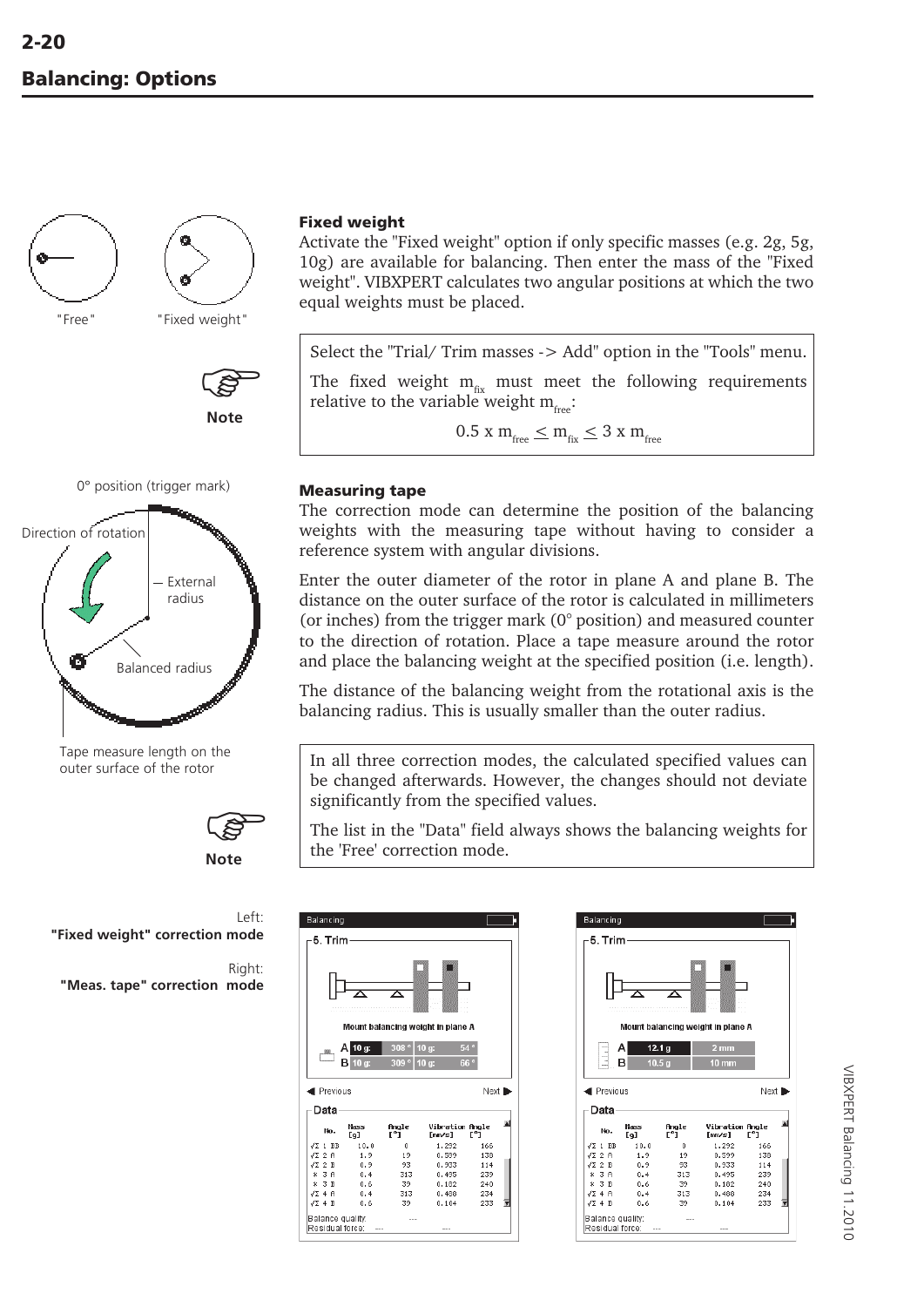<span id="page-27-0"></span>

Tape measure length on the outer surface of the rotor



**Note**

Left: **"Fixed weight" correction mode**

Right: **"Meas. tape" correction mode**

#### **Fixed weight**

Activate the "Fixed weight" option if only specific masses (e.g. 2g, 5g, 10g) are available for balancing. Then enter the mass of the "Fixed weight". VIBXPERT calculates two angular positions at which the two equal weights must be placed.

Select the "Trial/ Trim masses -> Add" option in the "Tools" menu.

The fixed weight  $m_{fix}$  must meet the following requirements relative to the variable weight  $m_{fres}$ :

 $0.5 \times m_{\text{free}} \le m_{\text{fix}} \le 3 \times m_{\text{free}}$ 

#### **Measuring tape**

The correction mode can determine the position of the balancing weights with the measuring tape without having to consider a reference system with angular divisions.

Enter the outer diameter of the rotor in plane A and plane B. The distance on the outer surface of the rotor is calculated in millimeters (or inches) from the trigger mark (0° position) and measured counter to the direction of rotation. Place a tape measure around the rotor and place the balancing weight at the specified position (i.e. length).

The distance of the balancing weight from the rotational axis is the balancing radius. This is usually smaller than the outer radius.

In all three correction modes, the calculated specified values can be changed afterwards. However, the changes should not deviate significantly from the specified values.

The list in the "Data" field always shows the balancing weights for the 'Free' correction mode.

| Balancing<br>5. Trim             |             |                  |                                   |                                  |
|----------------------------------|-------------|------------------|-----------------------------------|----------------------------------|
|                                  |             |                  |                                   |                                  |
|                                  |             |                  | Mount balancing weight in plane A |                                  |
|                                  | 10 g:<br>А  | 308 <sup>c</sup> | $10 g$ :                          | 54°                              |
|                                  |             |                  |                                   |                                  |
| <b>Previous</b>                  | B 10 g:     | 309°             | $10 g$ :                          | 66 <sup>°</sup><br>Next <b>b</b> |
| Data                             | <b>Nass</b> | Angle            | Vibration Angle                   |                                  |
| No.                              | [q]         | ٢Î               | [mm/s]                            | ĽÎ                               |
| $\sqrt{2}$ 1 BB                  | 10.0        | û                | 1.292                             | 166                              |
| $\sqrt{2}$ 2 A                   | 1.9         | 19               | 0.599                             | 138                              |
| $\sqrt{2}$ 2 B                   | 0.9         | 93               | 0.933                             | 114                              |
| * 3 A                            | 0.4         | 313              | 0.495                             | 239                              |
| $*$ 3 B                          | 0.6         | 39               | 0.182                             | 240                              |
| $\sqrt{2}$ 4 A<br>$\sqrt{2}$ 4 B | 0.4<br>0.6  | 313<br>39        | 0.488<br>0.104                    | 234<br>233                       |

| 5. Trim                          |            |                   |                                   |                |  |
|----------------------------------|------------|-------------------|-----------------------------------|----------------|--|
|                                  |            |                   |                                   |                |  |
|                                  |            |                   | Mount balancing weight in plane A |                |  |
|                                  | А          | 12.1 <sub>g</sub> | 2 <sub>mm</sub>                   |                |  |
|                                  |            |                   |                                   |                |  |
|                                  | в          | 10.5 <sub>g</sub> | <b>10 mm</b>                      |                |  |
| <b>Previous</b><br>Data          | Nass       | Angle             | Vibration Angle                   | Next <b>ID</b> |  |
| No.                              | [a]        | r°ī               | [mm/s]                            | г°ī            |  |
| $\sqrt{2}$ 1 BB                  | 10.0       | 0.                | 1,292                             | 166            |  |
| $\sqrt{2}$ 2 A                   | 1.9        | 19                | 0.599                             | 138            |  |
| $\sqrt{2}$ 2 B                   | 0.9        | 93                | 0.933                             | 114            |  |
| * 3 A                            | 0.4        | 313               | 0.495                             | 239            |  |
| $*$ 3 B                          | 0.6        | 39                | 0.182                             | 240            |  |
| $\sqrt{2}$ 4 A<br>$\sqrt{2}$ 4 B | 0.4<br>0.6 | 313<br>39         | 0.488<br>0.104                    | 234<br>233     |  |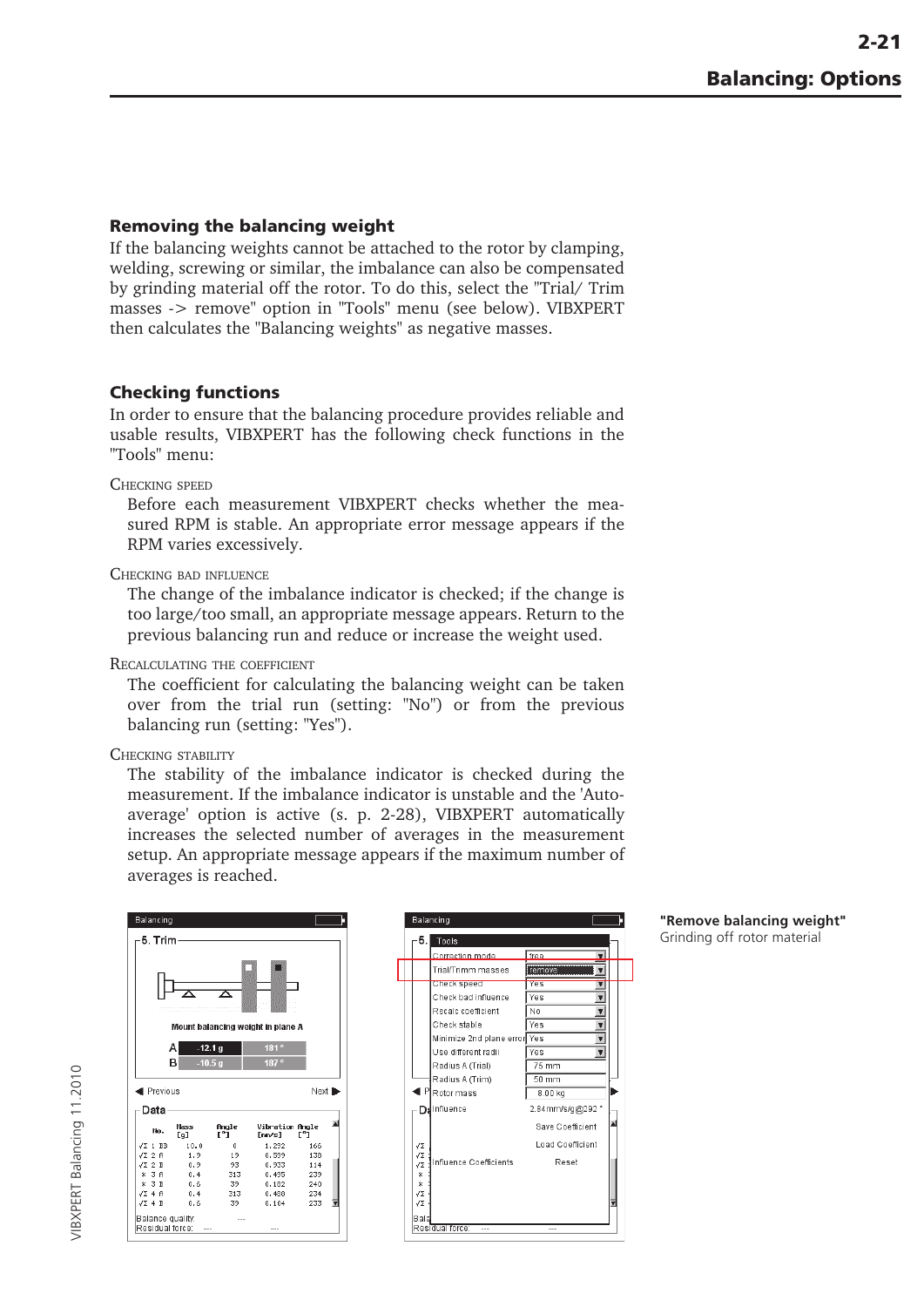### <span id="page-28-0"></span>**Removing the balancing weight**

If the balancing weights cannot be attached to the rotor by clamping, welding, screwing or similar, the imbalance can also be compensated by grinding material off the rotor. To do this, select the "Trial/ Trim masses -> remove" option in "Tools" menu (see below). VIBXPERT then calculates the "Balancing weights" as negative masses.

# **Checking functions**

In order to ensure that the balancing procedure provides reliable and usable results, VIBXPERT has the following check functions in the "Tools" menu:

#### CHECKING SPEED

Before each measurement VIBXPERT checks whether the measured RPM is stable. An appropriate error message appears if the RPM varies excessively.

#### CHECKING BAD INFLUENCE

The change of the imbalance indicator is checked; if the change is too large/too small, an appropriate message appears. Return to the previous balancing run and reduce or increase the weight used.

RECALCULATING THE COEFFICIENT

The coefficient for calculating the balancing weight can be taken over from the trial run (setting: "No") or from the previous balancing run (setting: "Yes").

#### CHECKING STABILITY

The stability of the imbalance indicator is checked during the measurement. If the imbalance indicator is unstable and the 'Autoaverage' option is active (s. p. 2-28), VIBXPERT automatically increases the selected number of averages in the measurement setup. An appropriate message appears if the maximum number of averages is reached.

Balancino -5 Trim Mount balancing weight in plane A  $-12.1a$  181° Α  $-10.5 g$  187°  $B$ **I** Previous Next in -Data Nass<br>[g] fingle<br>[°] Vibration Angle<br>[mm/s] [°] No.  $\begin{array}{cc}\n\sqrt{2} & 1 & BB \\
\sqrt{2} & 2 & B \\
\sqrt{2} & 2 & B\n\end{array}$  $1.292$ <br>0.599  $\frac{1}{10.0}$ -<br>166  $\frac{138}{114}$  $\begin{array}{c} 19 \\ 93 \end{array}$ 1.9  $0.9$ 0.933  $\begin{array}{cccc}\n\text{*} & \text{-}3 & \text{-}8 \\
\text{*} & \text{-}3 & \text{-}8\n\end{array}$  $0.4$ 313 0.495 239  $0.6$ 39  $0.182$  $240$  $0.4$ <br> $0.6$  $rac{313}{39}$  $234$ <br> $233$  $\sqrt{2}$  4 B<br> $\sqrt{2}$  4 B  $0.488$ <br> $0.104$ Balance quality: Residual force



**"Remove balancing weight"** Grinding off rotor material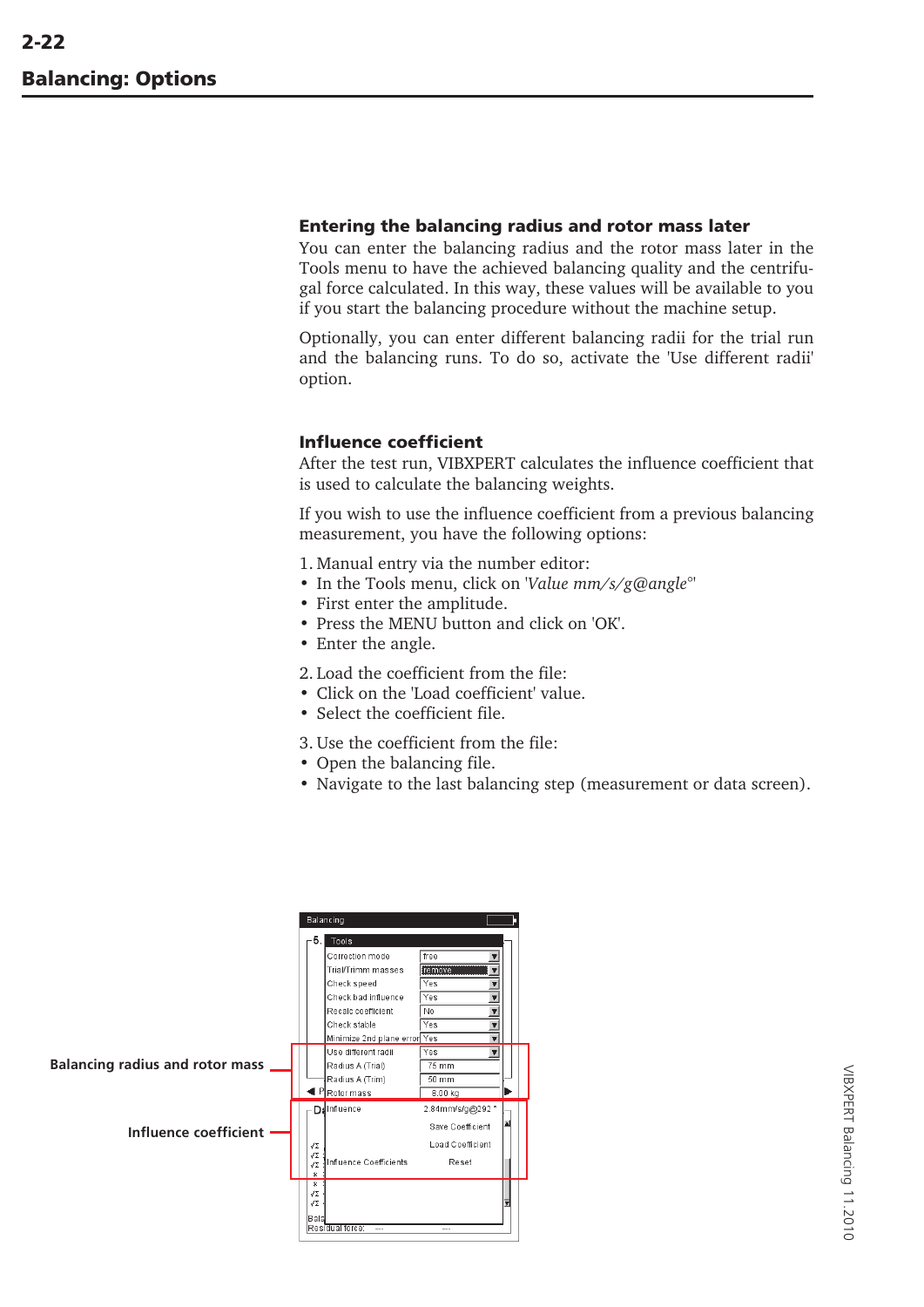#### <span id="page-29-0"></span>**Entering the balancing radius and rotor mass later**

You can enter the balancing radius and the rotor mass later in the Tools menu to have the achieved balancing quality and the centrifugal force calculated. In this way, these values will be available to you if you start the balancing procedure without the machine setup.

Optionally, you can enter different balancing radii for the trial run and the balancing runs. To do so, activate the 'Use different radii' option.

#### **Influence coefficient**

After the test run, VIBXPERT calculates the influence coefficient that is used to calculate the balancing weights.

If you wish to use the influence coefficient from a previous balancing measurement, you have the following options:

- 1. Manual entry via the number editor:
- In the Tools menu, click on '*Value mm/s/g@angle°*'
- First enter the amplitude.
- Press the MENU button and click on 'OK'.
- Enter the angle.
- 2. Load the coefficient from the file:
- Click on the 'Load coefficient' value.
- Select the coefficient file.
- 3. Use the coefficient from the file:
- Open the balancing file.
- Navigate to the last balancing step (measurement or data screen).

|                                        |                                    | Balancing                    |                  |   |  |
|----------------------------------------|------------------------------------|------------------------------|------------------|---|--|
|                                        | -5.1                               | Tools                        |                  |   |  |
|                                        |                                    | Correction mode              | free             |   |  |
|                                        |                                    | Trial/Trimm masses           | remove           |   |  |
|                                        |                                    | Check speed                  | Yes              |   |  |
|                                        |                                    | Check bad influence          | Yes              |   |  |
|                                        |                                    | Recalc coefficient           | No               |   |  |
|                                        |                                    | Check stable                 | Yes<br>v         |   |  |
|                                        |                                    | Minimize 2nd plane error Yes | v                |   |  |
|                                        |                                    | Use different radii          | Yes<br>▼         |   |  |
| <b>Balancing radius and rotor mass</b> |                                    | Radius A (Trial)             | 75 mm            |   |  |
|                                        |                                    | Radius A (Trim)              | 50 mm            |   |  |
|                                        |                                    | I P Rotor mass               | 8.00 kg          |   |  |
|                                        |                                    | Da Influence                 | 2.84mm/s/g@292 ° |   |  |
| Influence coefficient                  |                                    |                              | Save Coefficient |   |  |
|                                        | $\sqrt{2}$                         |                              | Load Coefficient |   |  |
|                                        | $\sqrt{2}$<br>$\sqrt{2}$<br>$\ast$ | Influence Coefficients       | Reset            |   |  |
|                                        | $\ast$<br>$\sqrt{2}$<br>$\sqrt{2}$ |                              |                  | ₹ |  |
|                                        | Bala                               | Residual force:<br>---       | ---              |   |  |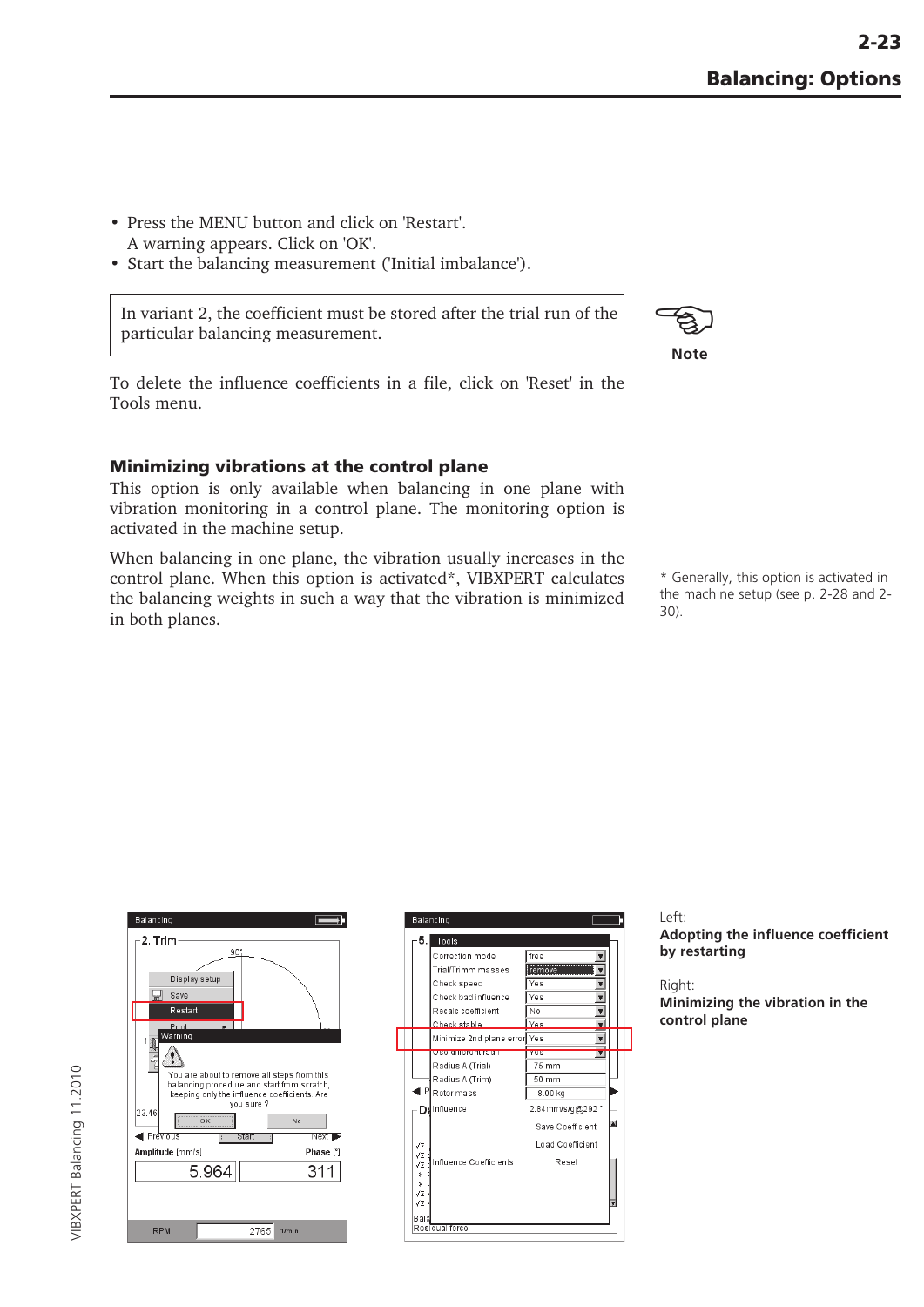- <span id="page-30-0"></span>• Press the MENU button and click on 'Restart'. A warning appears. Click on 'OK'.
- Start the balancing measurement ('Initial imbalance').

In variant 2, the coefficient must be stored after the trial run of the particular balancing measurement.

**Note**  $\mathfrak{B}$ 

To delete the influence coefficients in a file, click on 'Reset' in the Tools menu.

# **Minimizing vibrations at the control plane**

This option is only available when balancing in one plane with vibration monitoring in a control plane. The monitoring option is activated in the machine setup.

When balancing in one plane, the vibration usually increases in the control plane. When this option is activated\*, VIBXPERT calculates the balancing weights in such a way that the vibration is minimized in both planes.

\* Generally, this option is activated in the machine setup (see p. 2-28 and 2- 30).





#### Left:

**Adopting the influence coefficient by restarting**

Right: **Minimizing the vibration in the control plane**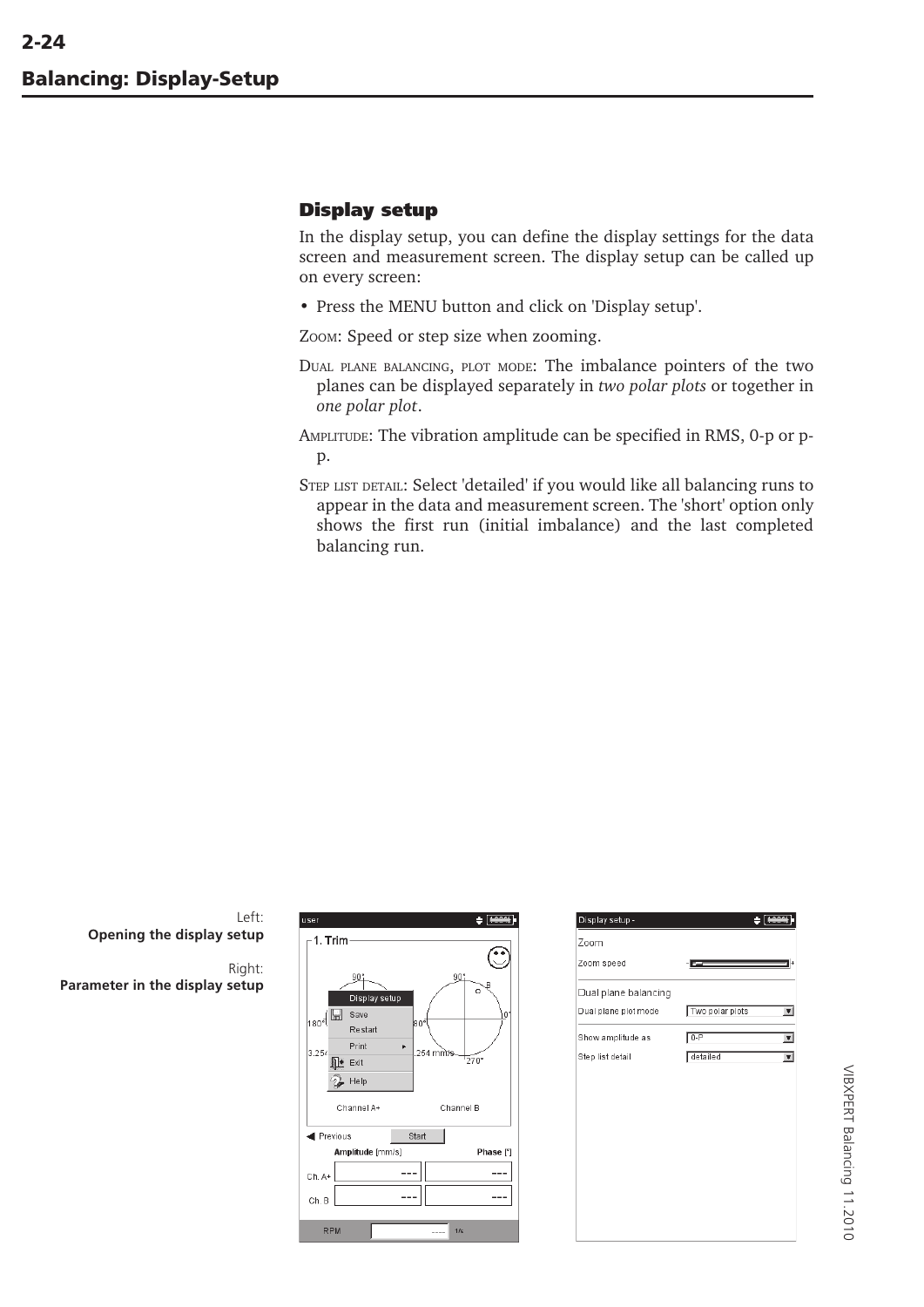# <span id="page-31-0"></span>**Display setup**

In the display setup, you can define the display settings for the data screen and measurement screen. The display setup can be called up on every screen:

• Press the MENU button and click on 'Display setup'.

ZOOM: Speed or step size when zooming.

- DUAL PLANE BALANCING, PLOT MODE: The imbalance pointers of the two planes can be displayed separately in *two polar plots* or together in *one polar plot*.
- AMPLITUDE: The vibration amplitude can be specified in RMS, 0-p or pp.
- STEP LIST DETAIL: Select 'detailed' if you would like all balancing runs to appear in the data and measurement screen. The 'short' option only shows the first run (initial imbalance) and the last completed balancing run.



Start

 $\sim$ 

Phase<sup>[°]</sup>

 $-$ 

 $1/s$  $\sim$ 

**I** Previous

Ch. A

Ch. B

**RPM** 

Amplitude [mm/s]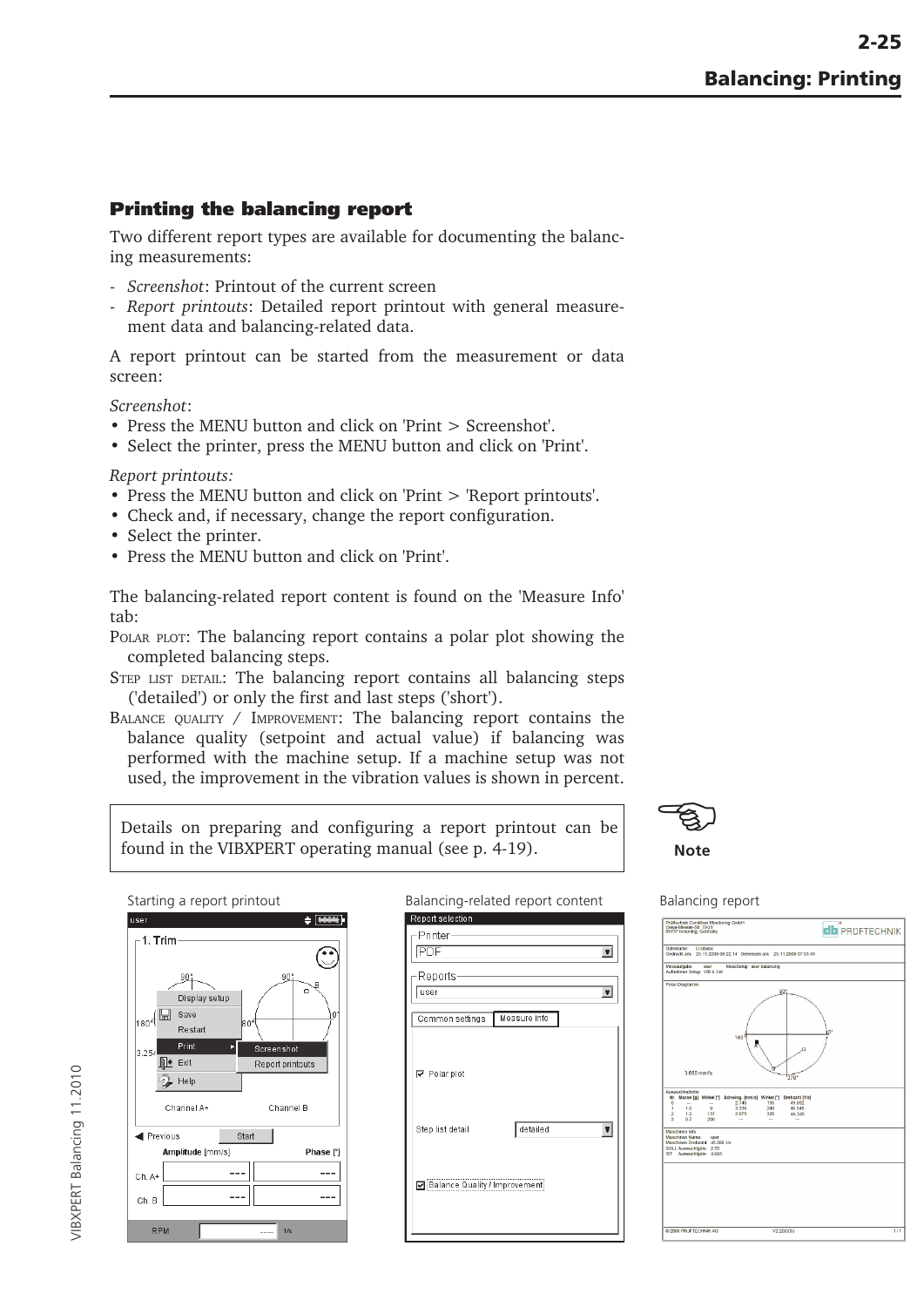# <span id="page-32-0"></span>**Printing the balancing report**

Two different report types are available for documenting the balancing measurements:

- *Screenshot*: Printout of the current screen
- *Report printouts*: Detailed report printout with general measurement data and balancing-related data.

A report printout can be started from the measurement or data screen:

*Screenshot*:

- Press the MENU button and click on 'Print > Screenshot'.
- Select the printer, press the MENU button and click on 'Print'.

*Report printouts:*

- Press the MENU button and click on 'Print > 'Report printouts'.
- Check and, if necessary, change the report configuration.
- Select the printer.
- Press the MENU button and click on 'Print'.

The balancing-related report content is found on the 'Measure Info' tab:

POLAR PLOT: The balancing report contains a polar plot showing the completed balancing steps.

- STEP LIST DETAIL: The balancing report contains all balancing steps ('detailed') or only the first and last steps ('short').
- BALANCE QUALITY / IMPROVEMENT: The balancing report contains the balance quality (setpoint and actual value) if balancing was performed with the machine setup. If a machine setup was not used, the improvement in the vibration values is shown in percent.

Details on preparing and configuring a report printout can be found in the VIBXPERT operating manual (see p. 4-19).





| Report selection               |                                               |                         |
|--------------------------------|-----------------------------------------------|-------------------------|
| <b>PDF</b>                     | the control of the control of the             |                         |
|                                | Reports-<br>the control of the control of the |                         |
| user                           |                                               | $\overline{\mathbf{v}}$ |
| Common settings   Measure info |                                               |                         |
|                                |                                               |                         |
| Step list detail               | detailed                                      | ▼                       |
| Balance Quality / Improvement  |                                               |                         |

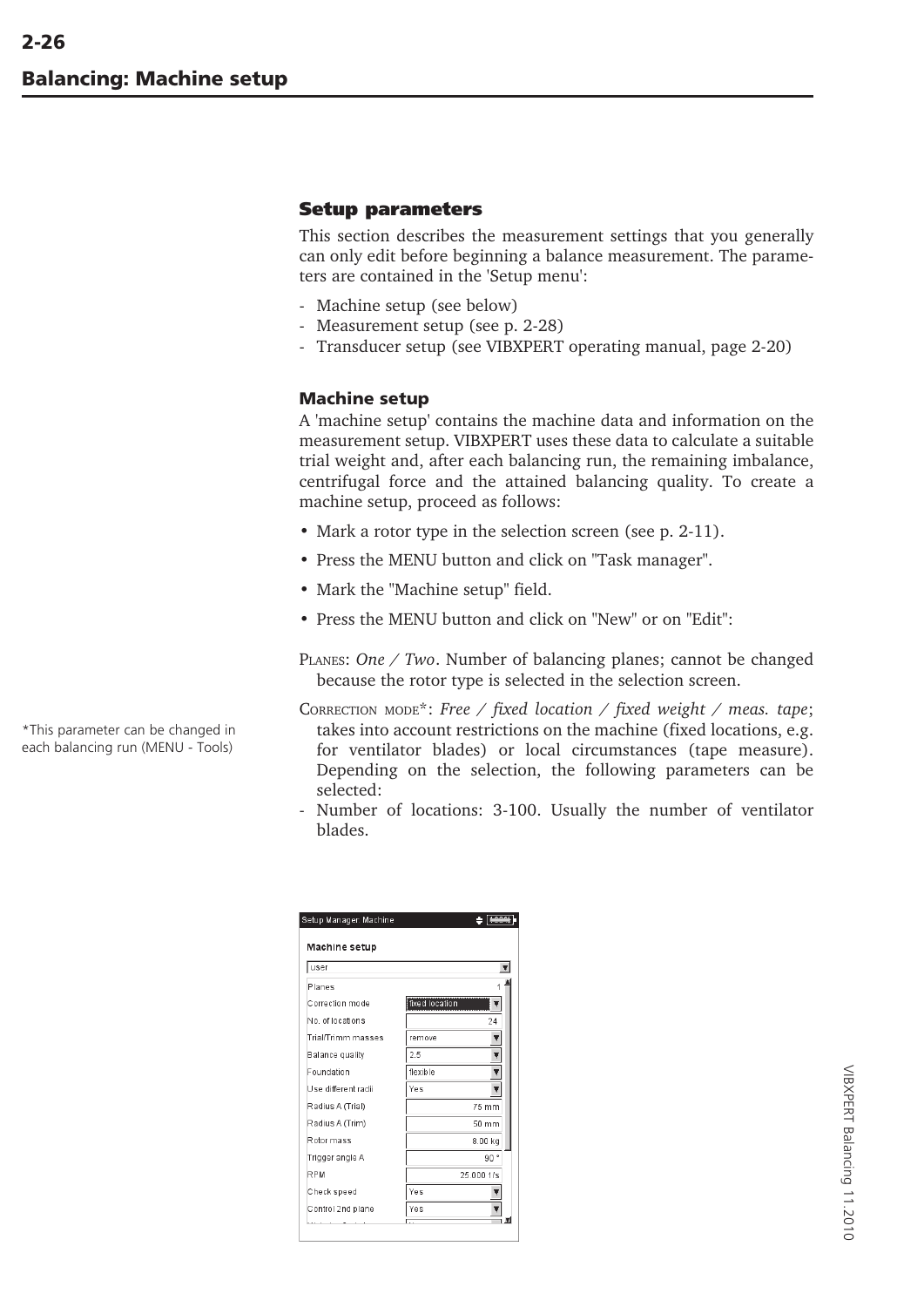# <span id="page-33-0"></span>**Setup parameters**

This section describes the measurement settings that you generally can only edit before beginning a balance measurement. The parameters are contained in the 'Setup menu':

- Machine setup (see below)
- Measurement setup (see p. 2-28)
- Transducer setup (see VIBXPERT operating manual, page 2-20)

# **Machine setup**

A 'machine setup' contains the machine data and information on the measurement setup. VIBXPERT uses these data to calculate a suitable trial weight and, after each balancing run, the remaining imbalance, centrifugal force and the attained balancing quality. To create a machine setup, proceed as follows:

- Mark a rotor type in the selection screen (see p. 2-11).
- Press the MENU button and click on "Task manager".
- Mark the "Machine setup" field.
- Press the MENU button and click on "New" or on "Edit":

PLANES: *One / Two*. Number of balancing planes; cannot be changed because the rotor type is selected in the selection screen.

- CORRECTION MODE\*: *Free / fixed location / fixed weight / meas. tape*; takes into account restrictions on the machine (fixed locations, e.g. for ventilator blades) or local circumstances (tape measure). Depending on the selection, the following parameters can be selected:
- Number of locations: 3-100. Usually the number of ventilator blades.

| user                |                |
|---------------------|----------------|
| Planes              |                |
| Correction mode     | fixed location |
| No. of locations    | 24             |
| Trial/Trimm masses  | remove         |
| Balance quality     | 2.5            |
| Foundation          | flexible       |
| Use different radii | Yes            |
| Radius A (Trial)    | 75 mm          |
| Radius A (Trim)     | 50 mm          |
| Rotor mass          | 8.00 kg        |
| Trigger angle A     | 90°            |
| RPM                 | 25.000 1/s     |
| Check speed         | Yes            |
| Control 2nd plane   | Yes            |

\*This parameter can be changed in each balancing run (MENU - Tools)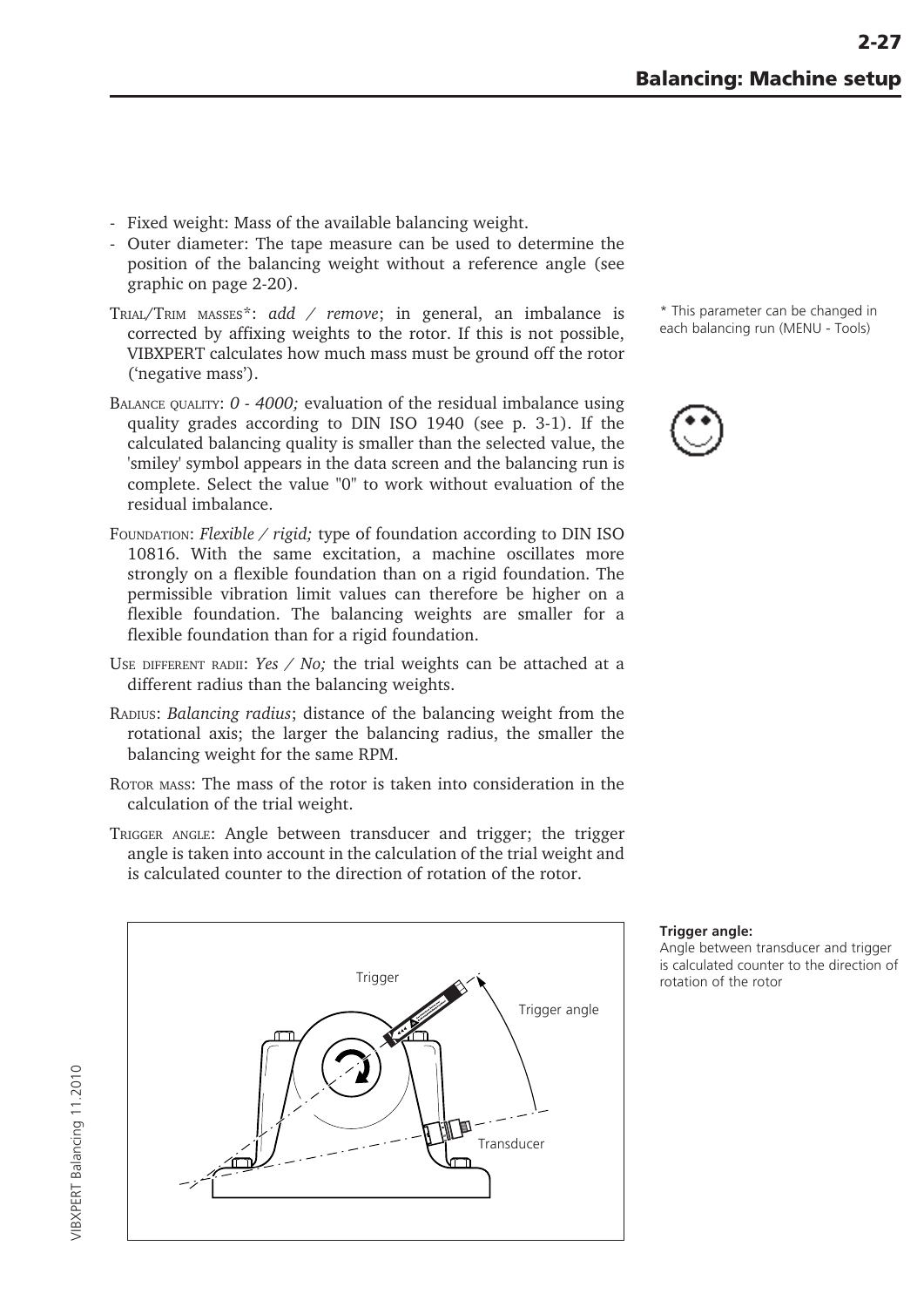- Fixed weight: Mass of the available balancing weight.
- Outer diameter: The tape measure can be used to determine the position of the balancing weight without a reference angle (see graphic on page 2-20).
- TRIAL/TRIM MASSES\*: *add / remove*; in general, an imbalance is corrected by affixing weights to the rotor. If this is not possible, VIBXPERT calculates how much mass must be ground off the rotor ('negative mass').
- BALANCE QUALITY: *0 4000;* evaluation of the residual imbalance using quality grades according to DIN ISO 1940 (see p. 3-1). If the calculated balancing quality is smaller than the selected value, the 'smiley' symbol appears in the data screen and the balancing run is complete. Select the value "0" to work without evaluation of the residual imbalance.
- FOUNDATION: *Flexible / rigid;* type of foundation according to DIN ISO 10816. With the same excitation, a machine oscillates more strongly on a flexible foundation than on a rigid foundation. The permissible vibration limit values can therefore be higher on a flexible foundation. The balancing weights are smaller for a flexible foundation than for a rigid foundation.
- USE DIFFERENT RADII: *Yes / No;* the trial weights can be attached at a different radius than the balancing weights.
- RADIUS: *Balancing radius*; distance of the balancing weight from the rotational axis; the larger the balancing radius, the smaller the balancing weight for the same RPM.
- ROTOR MASS: The mass of the rotor is taken into consideration in the calculation of the trial weight.
- TRIGGER ANGLE: Angle between transducer and trigger; the trigger angle is taken into account in the calculation of the trial weight and is calculated counter to the direction of rotation of the rotor.



\* This parameter can be changed in each balancing run (MENU - Tools)



#### **Trigger angle:**

Angle between transducer and trigger is calculated counter to the direction of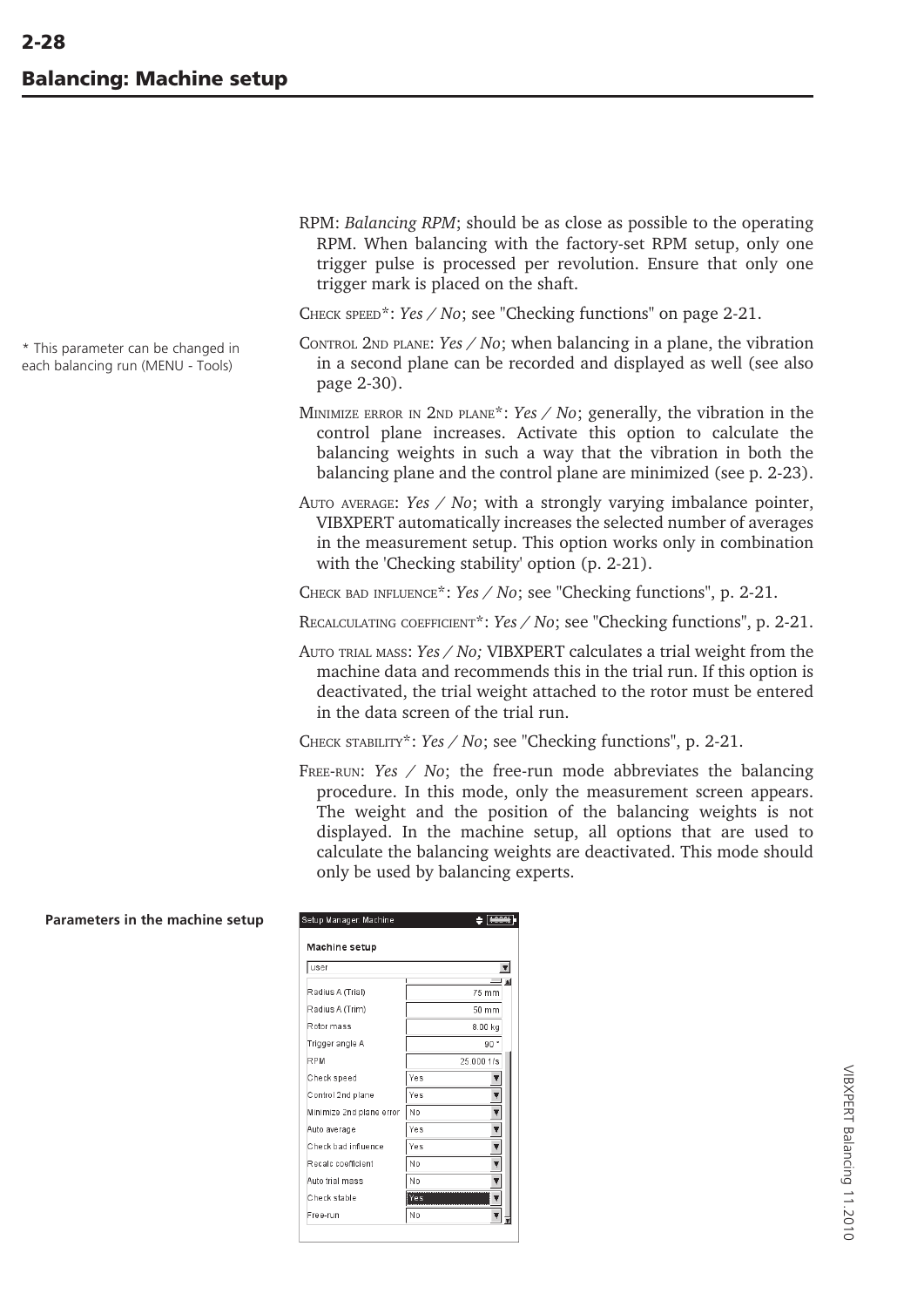\* This parameter can be changed in each balancing run (MENU - Tools)

**Parameters in the machine setup**

RPM: *Balancing RPM*; should be as close as possible to the operating RPM. When balancing with the factory-set RPM setup, only one trigger pulse is processed per revolution. Ensure that only one trigger mark is placed on the shaft.

CHECK SPEED\*: *Yes / No*; see "Checking functions" on page 2-21.

- CONTROL 2ND PLANE: *Yes / No*; when balancing in a plane, the vibration in a second plane can be recorded and displayed as well (see also page 2-30).
- MINIMIZE ERROR IN 2ND PLANE\*: *Yes / No*; generally, the vibration in the control plane increases. Activate this option to calculate the balancing weights in such a way that the vibration in both the balancing plane and the control plane are minimized (see p. 2-23).
- AUTO AVERAGE: *Yes / No*; with a strongly varying imbalance pointer, VIBXPERT automatically increases the selected number of averages in the measurement setup. This option works only in combination with the 'Checking stability' option (p. 2-21).

CHECK BAD INFLUENCE\*: *Yes / No*; see "Checking functions", p. 2-21.

RECALCULATING COEFFICIENT\*: *Yes / No*; see "Checking functions", p. 2-21.

AUTO TRIAL MASS: *Yes / No;* VIBXPERT calculates a trial weight from the machine data and recommends this in the trial run. If this option is deactivated, the trial weight attached to the rotor must be entered in the data screen of the trial run.

CHECK STABILITY\*: *Yes / No*; see "Checking functions", p. 2-21.

 $F = 1$ 

FREE-RUN: *Yes / No*; the free-run mode abbreviates the balancing procedure. In this mode, only the measurement screen appears. The weight and the position of the balancing weights is not displayed. In the machine setup, all options that are used to calculate the balancing weights are deactivated. This mode should only be used by balancing experts.

| . a.ao.c.s  o a so.ap |                          | $  -$                          |
|-----------------------|--------------------------|--------------------------------|
|                       | <b>Machine setup</b>     |                                |
|                       | user                     |                                |
|                       | Radius A (Trial)         | — ∡<br>75 mm                   |
|                       | Radius A (Trim)          | 50 mm                          |
|                       | Rotor mass               | $8.00$ $kg$                    |
|                       | Trigger angle A          | 90°                            |
|                       | RPM                      | 25.000 1/s                     |
|                       | Check speed              | Yes<br>▼                       |
|                       | Control 2nd plane        | Yes<br>v                       |
|                       | Minimize 2nd plane error | $\overline{\mathbf{v}}$<br>No  |
|                       | Auto average             | $\overline{\mathbf{v}}$<br>Yes |
|                       | Check bad influence      | ¥<br>Yes                       |
|                       | Recalc coefficient       | No<br>▼                        |
|                       | Auto trial mass          | No                             |
|                       | Check stable             | <b>Yes</b><br>▼                |
|                       | Free-run                 | No                             |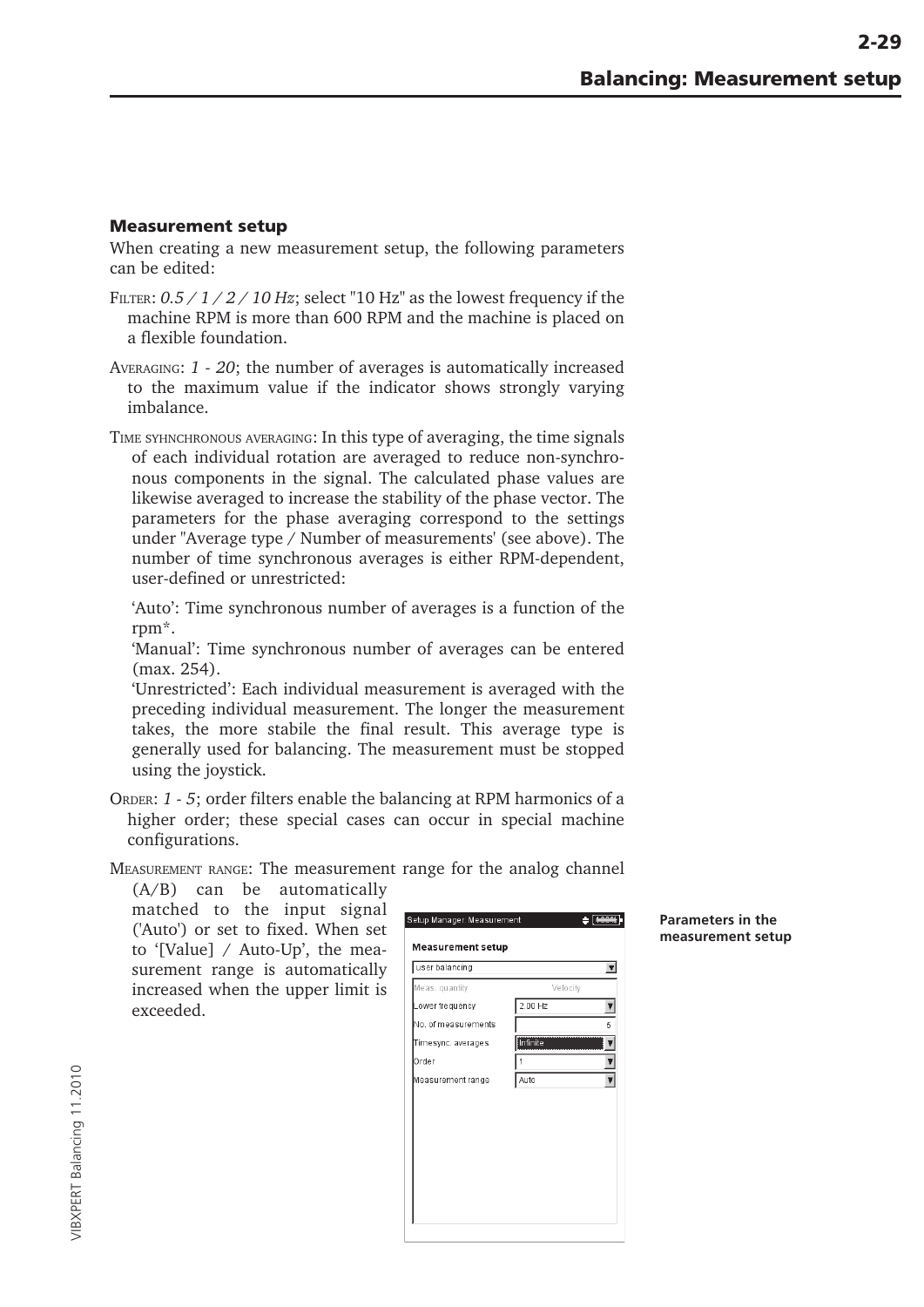#### <span id="page-36-0"></span>**Measurement setup**

When creating a new measurement setup, the following parameters can be edited:

- FILTER: *0.5 / 1 / 2 / 10 Hz*; select "10 Hz" as the lowest frequency if the machine RPM is more than 600 RPM and the machine is placed on a flexible foundation.
- AVERAGING: *1 20*; the number of averages is automatically increased to the maximum value if the indicator shows strongly varying imbalance.
- TIME SYHNCHRONOUS AVERAGING: In this type of averaging, the time signals of each individual rotation are averaged to reduce non-synchronous components in the signal. The calculated phase values are likewise averaged to increase the stability of the phase vector. The parameters for the phase averaging correspond to the settings under "Average type / Number of measurements' (see above). The number of time synchronous averages is either RPM-dependent, user-defined or unrestricted:

'Auto': Time synchronous number of averages is a function of the rpm\*.

'Manual': Time synchronous number of averages can be entered (max. 254).

'Unrestricted': Each individual measurement is averaged with the preceding individual measurement. The longer the measurement takes, the more stabile the final result. This average type is generally used for balancing. The measurement must be stopped using the joystick.

- ORDER: *1 5*; order filters enable the balancing at RPM harmonics of a higher order; these special cases can occur in special machine configurations.
- MEASUREMENT RANGE: The measurement range for the analog channel

(A/B) can be automatically matched to the input signal ('Auto') or set to fixed. When set to '[Value] / Auto-Up', the measurement range is automatically increased when the upper limit is exceeded.



**Parameters in the measurement setup**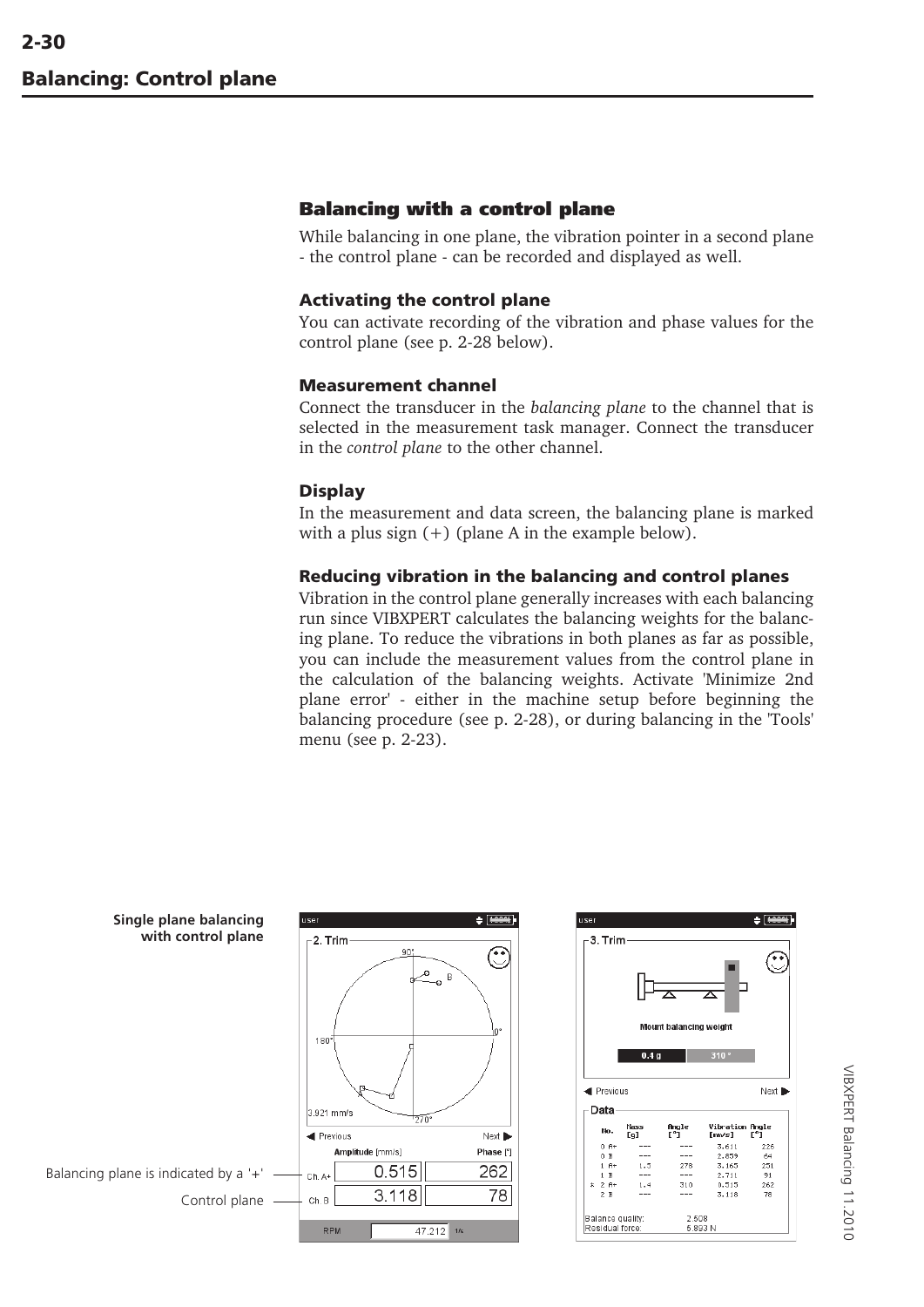# <span id="page-37-0"></span>**Balancing with a control plane**

While balancing in one plane, the vibration pointer in a second plane - the control plane - can be recorded and displayed as well.

#### **Activating the control plane**

You can activate recording of the vibration and phase values for the control plane (see p. 2-28 below).

#### **Measurement channel**

Connect the transducer in the *balancing plane* to the channel that is selected in the measurement task manager. Connect the transducer in the *control plane* to the other channel.

#### **Display**

In the measurement and data screen, the balancing plane is marked with a plus sign  $(+)$  (plane A in the example below).

#### **Reducing vibration in the balancing and control planes**

Vibration in the control plane generally increases with each balancing run since VIBXPERT calculates the balancing weights for the balancing plane. To reduce the vibrations in both planes as far as possible, you can include the measurement values from the control plane in the calculation of the balancing weights. Activate 'Minimize 2nd plane error' - either in the machine setup before beginning the balancing procedure (see p. 2-28), or during balancing in the 'Tools' menu (see p. 2-23).

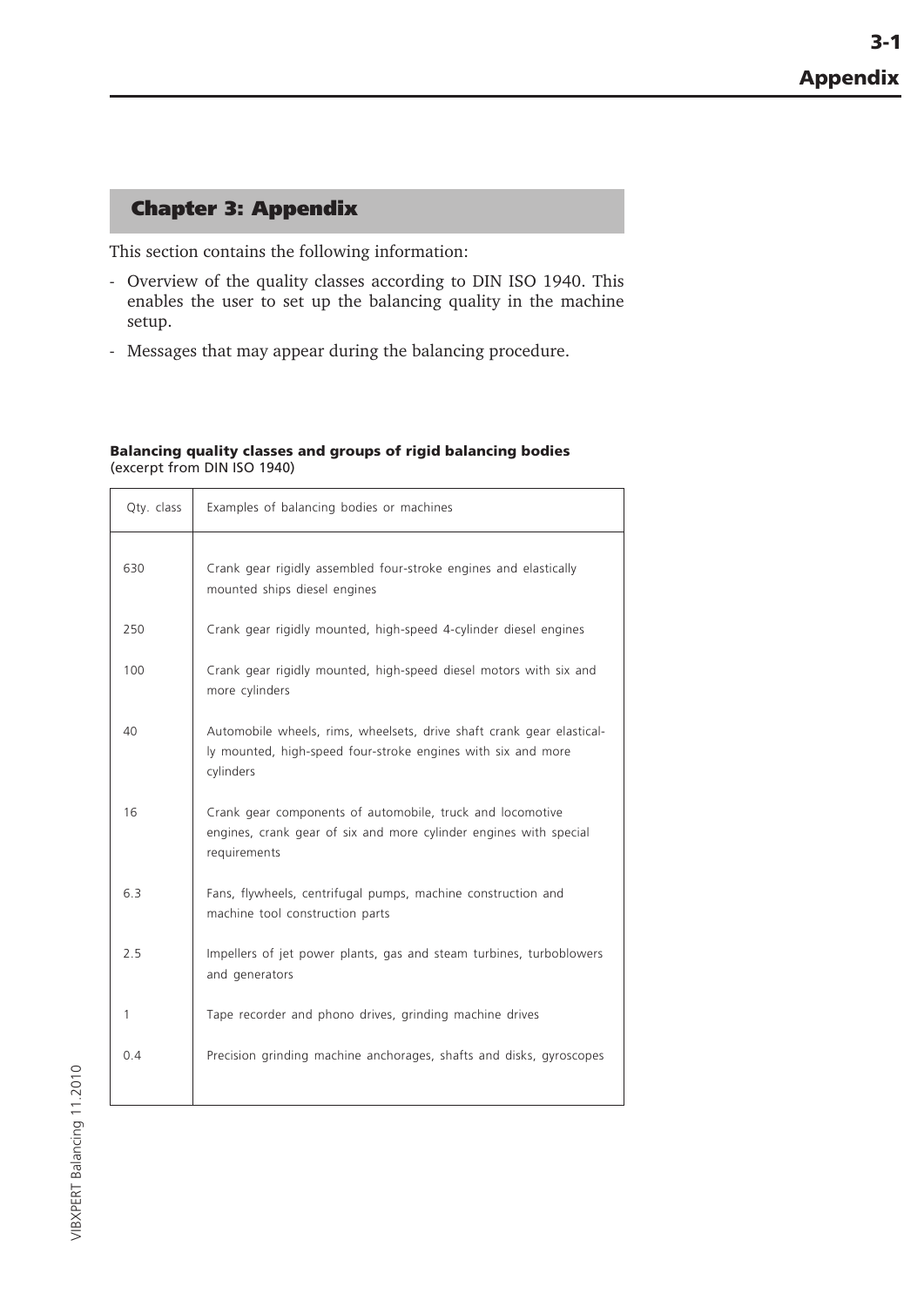# <span id="page-38-0"></span>**Chapter 3: Appendix**

This section contains the following information:

- Overview of the quality classes according to DIN ISO 1940. This enables the user to set up the balancing quality in the machine setup.
- Messages that may appear during the balancing procedure.

#### **Balancing quality classes and groups of rigid balancing bodies** (excerpt from DIN ISO 1940)

| Qty. class | Examples of balancing bodies or machines                                                                                                           |
|------------|----------------------------------------------------------------------------------------------------------------------------------------------------|
| 630        | Crank gear rigidly assembled four-stroke engines and elastically<br>mounted ships diesel engines                                                   |
| 250        | Crank gear rigidly mounted, high-speed 4-cylinder diesel engines                                                                                   |
| 100        | Crank gear rigidly mounted, high-speed diesel motors with six and<br>more cylinders                                                                |
| 40         | Automobile wheels, rims, wheelsets, drive shaft crank gear elastical-<br>ly mounted, high-speed four-stroke engines with six and more<br>cylinders |
| 16         | Crank gear components of automobile, truck and locomotive<br>engines, crank gear of six and more cylinder engines with special<br>requirements     |
| 6.3        | Fans, flywheels, centrifugal pumps, machine construction and<br>machine tool construction parts                                                    |
| 2.5        | Impellers of jet power plants, gas and steam turbines, turboblowers<br>and generators                                                              |
| 1          | Tape recorder and phono drives, grinding machine drives                                                                                            |
| 0.4        | Precision grinding machine anchorages, shafts and disks, gyroscopes                                                                                |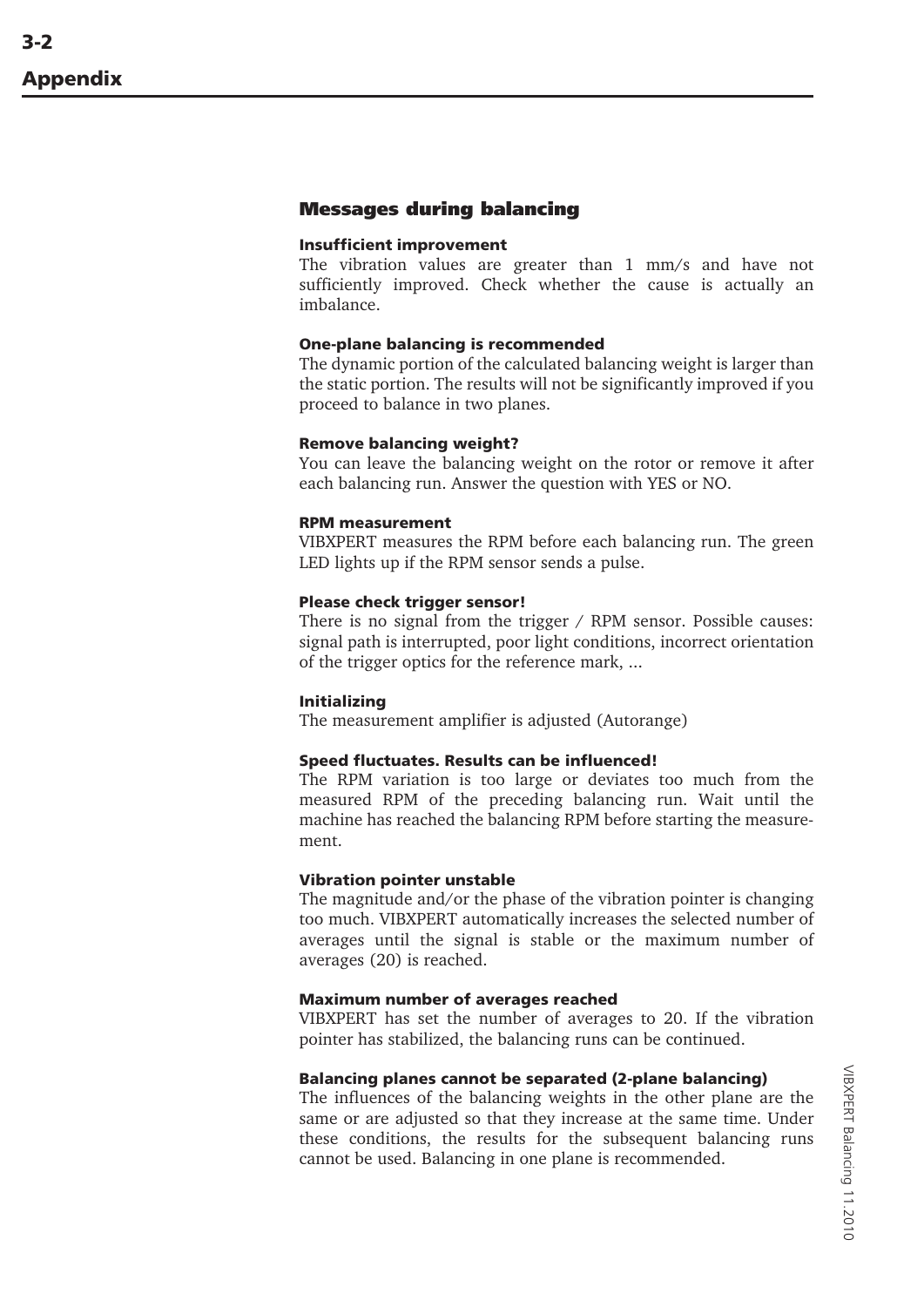# <span id="page-39-0"></span>**Messages during balancing**

#### **Insufficient improvement**

The vibration values are greater than 1 mm/s and have not sufficiently improved. Check whether the cause is actually an imbalance.

#### **One-plane balancing is recommended**

The dynamic portion of the calculated balancing weight is larger than the static portion. The results will not be significantly improved if you proceed to balance in two planes.

#### **Remove balancing weight?**

You can leave the balancing weight on the rotor or remove it after each balancing run. Answer the question with YES or NO.

#### **RPM measurement**

VIBXPERT measures the RPM before each balancing run. The green LED lights up if the RPM sensor sends a pulse.

#### **Please check trigger sensor!**

There is no signal from the trigger / RPM sensor. Possible causes: signal path is interrupted, poor light conditions, incorrect orientation of the trigger optics for the reference mark, ...

#### **Initializing**

The measurement amplifier is adjusted (Autorange)

#### **Speed fluctuates. Results can be influenced!**

The RPM variation is too large or deviates too much from the measured RPM of the preceding balancing run. Wait until the machine has reached the balancing RPM before starting the measurement.

#### **Vibration pointer unstable**

The magnitude and/or the phase of the vibration pointer is changing too much. VIBXPERT automatically increases the selected number of averages until the signal is stable or the maximum number of averages (20) is reached.

#### **Maximum number of averages reached**

VIBXPERT has set the number of averages to 20. If the vibration pointer has stabilized, the balancing runs can be continued.

#### **Balancing planes cannot be separated (2-plane balancing)**

The influences of the balancing weights in the other plane are the same or are adjusted so that they increase at the same time. Under these conditions, the results for the subsequent balancing runs cannot be used. Balancing in one plane is recommended.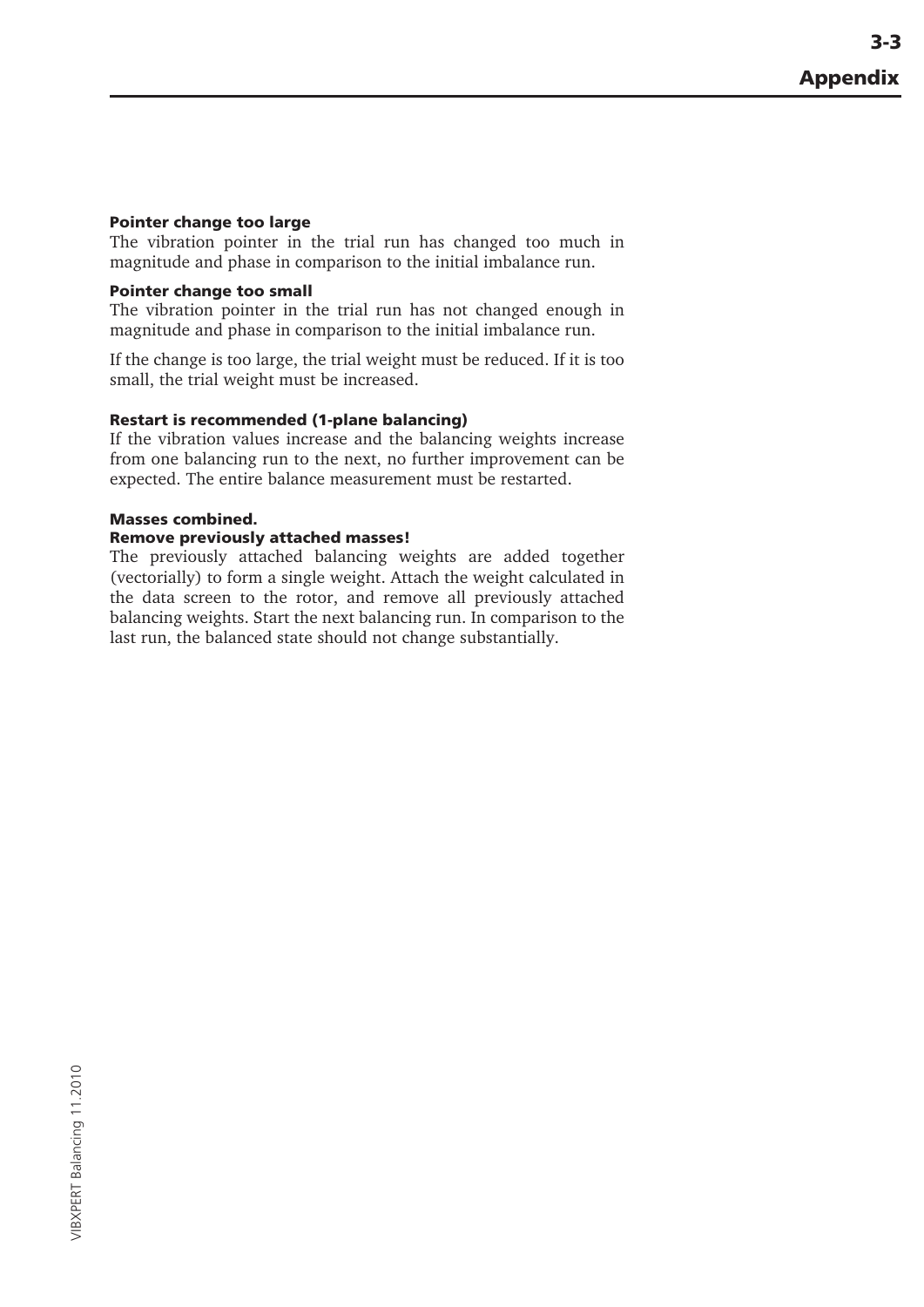#### **Pointer change too large**

The vibration pointer in the trial run has changed too much in magnitude and phase in comparison to the initial imbalance run.

#### **Pointer change too small**

The vibration pointer in the trial run has not changed enough in magnitude and phase in comparison to the initial imbalance run.

If the change is too large, the trial weight must be reduced. If it is too small, the trial weight must be increased.

#### **Restart is recommended (1-plane balancing)**

If the vibration values increase and the balancing weights increase from one balancing run to the next, no further improvement can be expected. The entire balance measurement must be restarted.

#### **Masses combined.**

#### **Remove previously attached masses!**

The previously attached balancing weights are added together (vectorially) to form a single weight. Attach the weight calculated in the data screen to the rotor, and remove all previously attached balancing weights. Start the next balancing run. In comparison to the last run, the balanced state should not change substantially.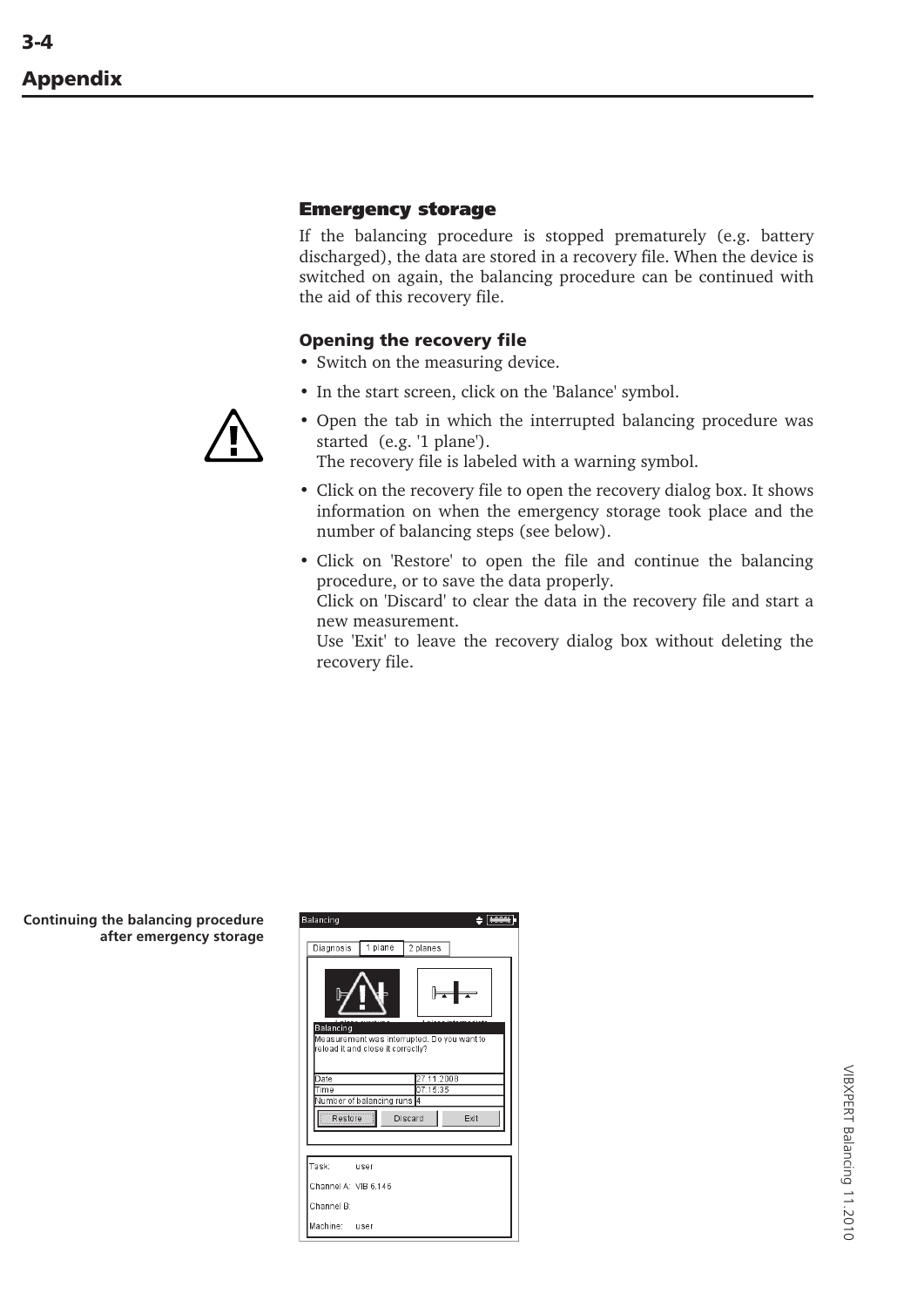# <span id="page-41-0"></span>**Emergency storage**

If the balancing procedure is stopped prematurely (e.g. battery discharged), the data are stored in a recovery file. When the device is switched on again, the balancing procedure can be continued with the aid of this recovery file.

# **Opening the recovery file**

- Switch on the measuring device.
- In the start screen, click on the 'Balance' symbol.



- Open the tab in which the interrupted balancing procedure was started (e.g. '1 plane').
- The recovery file is labeled with a warning symbol.
- Click on the recovery file to open the recovery dialog box. It shows information on when the emergency storage took place and the number of balancing steps (see below).
- Click on 'Restore' to open the file and continue the balancing procedure, or to save the data properly. Click on 'Discard' to clear the data in the recovery file and start a new measurement. Use 'Exit' to leave the recovery dialog box without deleting the

recovery file.

**Continuing the balancing procedure after emergency storage**

| Diagnosis                     | 1 plane                                                                          | 2 planes               |      |  |
|-------------------------------|----------------------------------------------------------------------------------|------------------------|------|--|
| Balancing                     |                                                                                  |                        |      |  |
|                               | Measurement was interrupted. Do you want to<br>reload it and close it correctly? |                        |      |  |
| Date<br>Time                  |                                                                                  | 27.11.2008<br>07:15:35 |      |  |
| Restore                       | Number of balancing runs 4                                                       | Discard                | Exit |  |
|                               |                                                                                  |                        |      |  |
| Task:<br>Channel A: VIB 6.146 | user                                                                             |                        |      |  |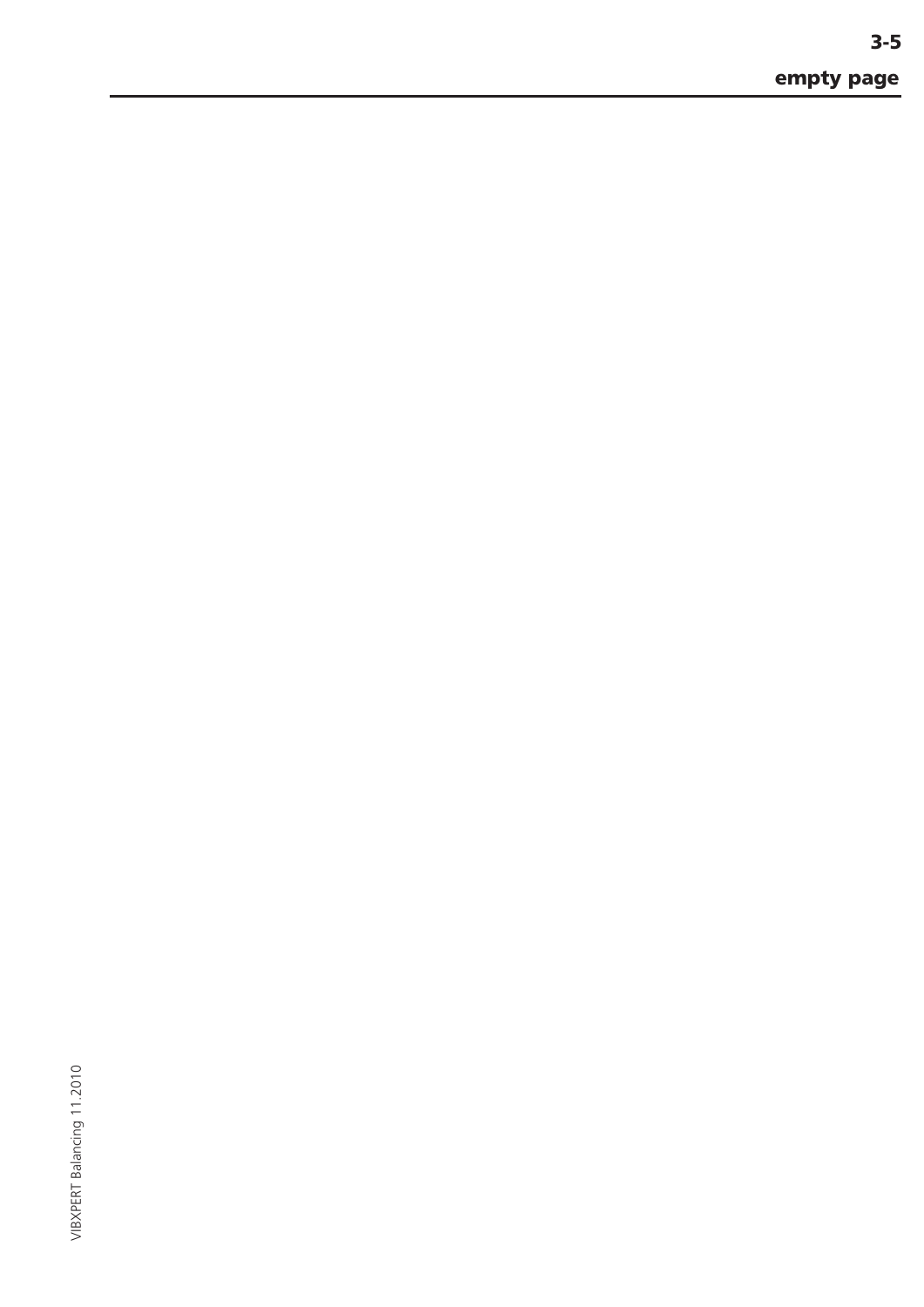VIBXPERT Balancing 11.2010 VIBXPERT Balancing 11.2010

**empty page**